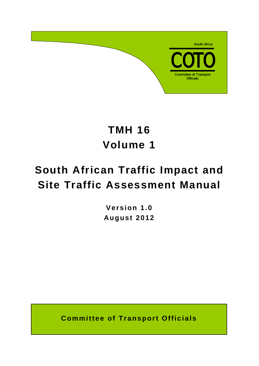

# **TMH 16 Volume 1**

# **South African Traffic Impact and Site Traffic Assessment Manual**

**Version 1.0 August 2012**

**Committee of Transport Officials**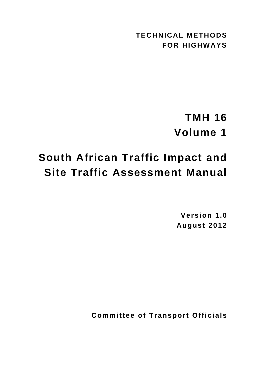**TECHNICAL METHODS FOR HIGHWAYS**

# **TMH 16 Volume 1**

# **South African Traffic Impact and Site Traffic Assessment Manual**

**Version 1.0 August 2012**

**Committee of Transport Officials**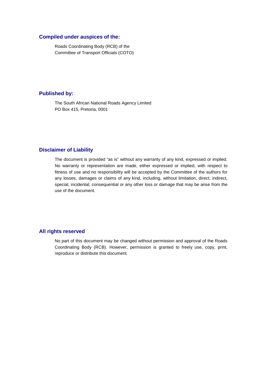## **Compiled under auspices of the:**

Roads Coordinating Body (RCB) of the Committee of Transport Officials (COTO)

# **Published by:**

The South African National Roads Agency Limited PO Box 415, Pretoria, 0001

# **Disclaimer of Liability**

The document is provided "as is" without any warranty of any kind, expressed or implied. No warranty or representation are made, either expressed or implied, with respect to fitness of use and no responsibility will be accepted by the Committee of the authors for any losses, damages or claims of any kind, including, without limitation, direct, indirect, special, incidental, consequential or any other loss or damage that may be arise from the use of the document.

# **All rights reserved**

No part of this document may be changed without permission and approval of the Roads Coordinating Body (RCB). However, permission is granted to freely use, copy, print, reproduce or distribute this document.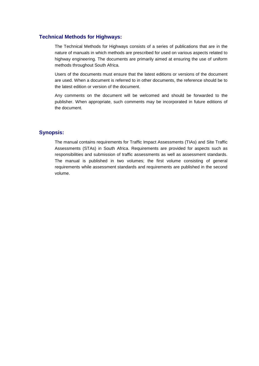## **Technical Methods for Highways:**

The Technical Methods for Highways consists of a series of publications that are in the nature of manuals in which methods are prescribed for used on various aspects related to highway engineering. The documents are primarily aimed at ensuring the use of uniform methods throughout South Africa.

Users of the documents must ensure that the latest editions or versions of the document are used. When a document is referred to in other documents, the reference should be to the latest edition or version of the document.

Any comments on the document will be welcomed and should be forwarded to the publisher. When appropriate, such comments may be incorporated in future editions of the document.

# **Synopsis:**

The manual contains requirements for Traffic Impact Assessments (TIAs) and Site Traffic Assessments (STAs) in South Africa. Requirements are provided for aspects such as responsibilities and submission of traffic assessments as well as assessment standards. The manual is published in two volumes; the first volume consisting of general requirements while assessment standards and requirements are published in the second volume.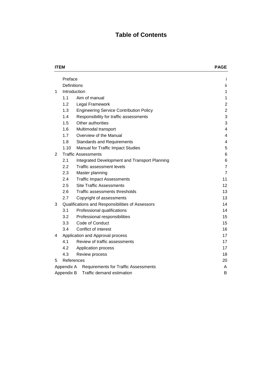# **Table of Contents**

|   | <b>ITEM</b>                                               | <b>PAGE</b>                                      |                         |  |  |
|---|-----------------------------------------------------------|--------------------------------------------------|-------------------------|--|--|
|   | Preface                                                   |                                                  | i                       |  |  |
|   |                                                           | Definitions                                      | ii                      |  |  |
| 1 | Introduction                                              |                                                  | 1                       |  |  |
|   | 1.1                                                       | Aim of manual                                    | 1                       |  |  |
|   | 1.2                                                       | Legal Framework                                  | $\overline{\mathbf{c}}$ |  |  |
|   | 1.3                                                       | <b>Engineering Service Contribution Policy</b>   | $\overline{2}$          |  |  |
|   | 1.4                                                       | Responsibility for traffic assessments           | 3                       |  |  |
|   | 1.5                                                       | Other authorities                                | 3                       |  |  |
|   | 1.6                                                       | Multimodal transport                             | 4                       |  |  |
|   | 1.7                                                       | Overview of the Manual                           | 4                       |  |  |
|   | 1.8                                                       | <b>Standards and Requirements</b>                | 4                       |  |  |
|   | 1.10                                                      | Manual for Traffic Impact Studies                | 5                       |  |  |
| 2 | <b>Traffic Assessments</b>                                |                                                  | 6                       |  |  |
|   | 2.1                                                       | Integrated Development and Transport Planning    | 6                       |  |  |
|   | 2.2                                                       | Traffic assessment levels                        | $\overline{7}$          |  |  |
|   | 2.3                                                       | Master planning                                  | $\overline{7}$          |  |  |
|   | 2.4                                                       | <b>Traffic Impact Assessments</b>                | 11                      |  |  |
|   | 2.5                                                       | <b>Site Traffic Assessments</b>                  | 12                      |  |  |
|   | 2.6                                                       | Traffic assessments thresholds                   | 13                      |  |  |
|   | 2.7                                                       | Copyright of assessments                         | 13                      |  |  |
| 3 |                                                           | Qualifications and Responsibilities of Assessors | 14                      |  |  |
|   | 3.1                                                       | Professional qualifications                      | 14                      |  |  |
|   | 3.2                                                       | Professional responsibilities                    | 15                      |  |  |
|   | 3.3                                                       | Code of Conduct                                  | 15                      |  |  |
|   | 3.4                                                       | Conflict of interest                             | 16                      |  |  |
| 4 | Application and Approval process                          |                                                  | 17                      |  |  |
|   | 4.1                                                       | Review of traffic assessments                    | 17                      |  |  |
|   | 4.2                                                       | Application process                              | 17                      |  |  |
|   | 4.3<br>Review process                                     |                                                  | 18                      |  |  |
| 5 |                                                           | References                                       | 20                      |  |  |
|   | Appendix A<br><b>Requirements for Traffic Assessments</b> |                                                  |                         |  |  |
|   | Appendix B                                                | B                                                |                         |  |  |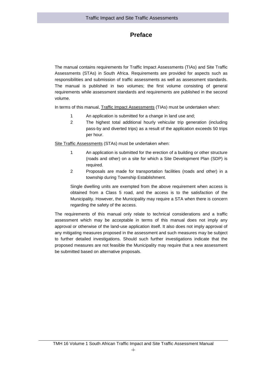# **Preface**

The manual contains requirements for Traffic Impact Assessments (TIAs) and Site Traffic Assessments (STAs) in South Africa. Requirements are provided for aspects such as responsibilities and submission of traffic assessments as well as assessment standards. The manual is published in two volumes; the first volume consisting of general requirements while assessment standards and requirements are published in the second volume.

In terms of this manual, Traffic Impact Assessments (TIAs) must be undertaken when:

- 1 An application is submitted for a change in land use and;
- 2 The highest total additional hourly vehicular trip generation (including pass-by and diverted trips) as a result of the application exceeds 50 trips per hour.

Site Traffic Assessments (STAs) must be undertaken when:

- 1 An application is submitted for the erection of a building or other structure (roads and other) on a site for which a Site Development Plan (SDP) is required.
- 2 Proposals are made for transportation facilities (roads and other) in a township during Township Establishment.

Single dwelling units are exempted from the above requirement when access is obtained from a Class 5 road, and the access is to the satisfaction of the Municipality. However, the Municipality may require a STA when there is concern regarding the safety of the access.

The requirements of this manual only relate to technical considerations and a traffic assessment which may be acceptable in terms of this manual does not imply any approval or otherwise of the land-use application itself. It also does not imply approval of any mitigating measures proposed in the assessment and such measures may be subject to further detailed investigations. Should such further investigations indicate that the proposed measures are not feasible the Municipality may require that a new assessment be submitted based on alternative proposals.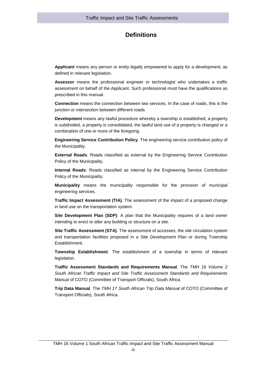# **Definitions**

**Applicant** means any person or entity legally empowered to apply for a development, as defined in relevant legislation.

**Assessor** means the professional engineer or technologist who undertakes a traffic assessment on behalf of the Applicant. Such professional must have the qualifications as prescribed in this manual.

**Connection** means the connection between two services. In the case of roads, this is the junction or intersection between different roads.

**Development** means any lawful procedure whereby a township is established, a property is subdivided, a property is consolidated, the lawful land use of a property is changed or a combination of one or more of the foregoing.

**Engineering Service Contribution Policy**. The engineering service contribution policy of the Municipality.

**External Roads**. Roads classified as external by the Engineering Service Contribution Policy of the Municipality.

**Internal Roads**. Roads classified as internal by the Engineering Service Contribution Policy of the Municipality.

**Municipality** means the municipality responsible for the provision of municipal engineering services.

**Traffic Impact Assessment (TIA)**. The assessment of the impact of a proposed change in land use on the transportation system.

**Site Development Plan (SDP)**. A plan that the Municipality requires of a land owner intending to erect or alter any building or structure on a site.

**Site Traffic Assessment (STA)**. The assessment of accesses, the site circulation system and transportation facilities proposed in a Site Development Plan or during Township Establishment.

**Township Establishment**. The establishment of a township in terms of relevant legislation.

**Traffic Assessment Standards and Requirements Manual**. The *TMH 16 Volume 2 South African Traffic Impact and Site Traffic Assessment Standards and Requirements Manual* of COTO (Committee of Transport Officials), South Africa.

**Trip Data Manual**. The *TMH 17 South African Trip Data Manual* of COTO (Committee of Transport Officials), South Africa.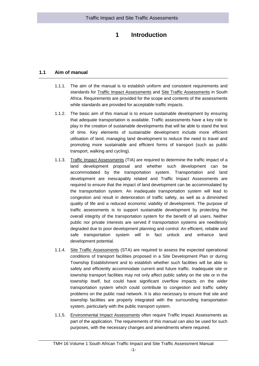# **1 Introduction**

# <span id="page-7-0"></span>**1.1 Aim of manual**

- <span id="page-7-1"></span>1.1.1. The aim of the manual is to establish uniform and consistent requirements and standards for Traffic Impact Assessments and Site Traffic Assessments in South Africa. Requirements are provided for the scope and contents of the assessments while standards are provided for acceptable traffic impacts.
- 1.1.2. The basic aim of this manual is to ensure sustainable development by ensuring that adequate transportation is available. Traffic assessments have a key role to play in the creation of sustainable developments that will be able to stand the test of time. Key elements of sustainable development include more efficient utilisation of land, managing land development to reduce the need to travel and promoting more sustainable and efficient forms of transport (such as public transport, walking and cycling).
- 1.1.3. Traffic Impact Assessments (TIA) are required to determine the traffic impact of a land development proposal and whether such development can be accommodated by the transportation system. Transportation and land development are inescapably related and Traffic Impact Assessments are required to ensure that the impact of land development can be accommodated by the transportation system. An inadequate transportation system will lead to congestion and result in deterioration of traffic safety, as well as a diminished quality of life and a reduced economic viability of development. The purpose of traffic assessments is to support sustainable development by protecting the overall integrity of the transportation system for the benefit of all users. Neither public nor private interests are served if transportation systems are needlessly degraded due to poor development planning and control. An efficient, reliable and safe transportation system will in fact unlock and enhance land development potential.
- 1.1.4. Site Traffic Assessments (STA) are required to assess the expected operational conditions of transport facilities proposed in a Site Development Plan or during Township Establishment and to establish whether such facilities will be able to safely and efficiently accommodate current and future traffic. Inadequate site or township transport facilities may not only affect public safety on the site or in the township itself, but could have significant overflow impacts on the wider transportation system which could contribute to congestion and traffic safety problems on the public road network. It is also necessary to ensure that site and township facilities are properly integrated with the surrounding transportation system, particularly with the public transport system.
- 1.1.5. Environmental Impact Assessments often require Traffic Impact Assessments as part of the application. The requirements of this manual can also be used for such purposes, with the necessary changes and amendments where required.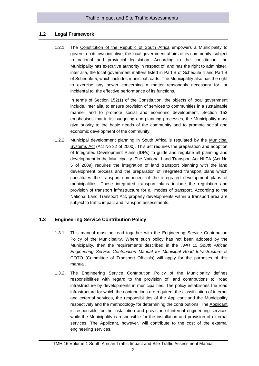# **1.2 Legal Framework**

<span id="page-8-0"></span>1.2.1. The Constitution of the Republic of South Africa empowers a Municipality to govern, on its own initiative, the local government affairs of its community, subject to national and provincial legislation. According to the constitution, the Municipality has executive authority in respect of, and has the right to administer, inter alia, the local government matters listed in Part B of Schedule 4 and Part B of Schedule 5, which includes municipal roads. The Municipality also has the right to exercise any power concerning a matter reasonably necessary for, or incidental to, the effective performance of its functions.

In terms of Section 152(1) of the Constitution, the objects of local government include, inter alia, to ensure provision of services to communities in a sustainable manner and to promote social and economic development. Section 153 emphasises that in its budgeting and planning processes, the Municipality must give priority to the basic needs of the community and to promote social and economic development of the community.

1.2.2. Municipal development planning in South Africa is regulated by the Municipal Systems Act (Act No 32 of 2000). This act requires the preparation and adoption of Integrated Development Plans (IDPs) to guide and regulate all planning and development in the Municipality. The National Land Transport Act NLTA (Act No 5 of 2009) requires the integration of land transport planning with the land development process and the preparation of integrated transport plans which constitutes the transport component of the integrated development plans of municipalities. These integrated transport plans include the regulation and provision of transport infrastructure for all modes of transport. According to the National Land Transport Act, property developments within a transport area are subject to traffic impact and transport assessments.

# <span id="page-8-1"></span>**1.3 Engineering Service Contribution Policy**

- 1.3.1. This manual must be read together with the Engineering Service Contribution Policy of the Municipality. Where such policy has not been adopted by the Municipality, then the requirements described in the *TMH 15 South African Engineering Service Contribution Manual for Municipal Road Infrastructure* of COTO (Committee of Transport Officials) will apply for the purposes of this manual.
- 1.3.2. The Engineering Service Contribution Policy of the Municipality defines responsibilities with regard to the provision of, and contributions to, road infrastructure by developments in municipalities. The policy establishes the road infrastructure for which the contributions are required, the classification of internal and external services, the responsibilities of the Applicant and the Municipality respectively and the methodology for determining the contributions. The Applicant is responsible for the installation and provision of internal engineering services while the Municipality is responsible for the installation and provision of external services. The Applicant, however, will contribute to the cost of the external engineering services.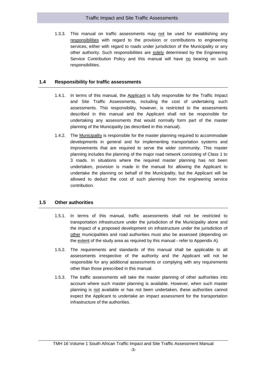## Traffic Impact and Site Traffic Assessments

1.3.3. This manual on traffic assessments may not be used for establishing any responsibilities with regard to the provision or contributions to engineering services, either with regard to roads under jurisdiction of the Municipality or any other authority. Such responsibilities are solely determined by the Engineering Service Contribution Policy and this manual will have no bearing on such responsibilities.

# <span id="page-9-0"></span>**1.4 Responsibility for traffic assessments**

- 1.4.1. In terms of this manual, the Applicant is fully responsible for the Traffic Impact and Site Traffic Assessments, including the cost of undertaking such assessments. This responsibility, however, is restricted to the assessments described in this manual and the Applicant shall not be responsible for undertaking any assessments that would normally form part of the master planning of the Municipality (as described in this manual).
- 1.4.2. The Municipality is responsible for the master planning required to accommodate developments in general and for implementing transportation systems and improvements that are required to serve the wider community. This master planning includes the planning of the major road network consisting of Class 1 to 3 roads. In situations where the required master planning has not been undertaken, provision is made in the manual for allowing the Applicant to undertake the planning on behalf of the Municipality, but the Applicant will be allowed to deduct the cost of such planning from the engineering service contribution.

# <span id="page-9-1"></span>**1.5 Other authorities**

- 1.5.1. In terms of this manual, traffic assessments shall not be restricted to transportation infrastructure under the jurisdiction of the Municipality alone and the impact of a proposed development on infrastructure under the jurisdiction of other municipalities and road authorities must also be assessed (depending on the extent of the study area as required by this manual - refer to Appendix A).
- 1.5.2. The requirements and standards of this manual shall be applicable to all assessments irrespective of the authority and the Applicant will not be responsible for any additional assessments or complying with any requirements other than those prescribed in this manual.
- 1.5.3. The traffic assessments will take the master planning of other authorities into account where such master planning is available. However, when such master planning is not available or has not been undertaken, these authorities cannot expect the Applicant to undertake an impact assessment for the transportation infrastructure of the authorities.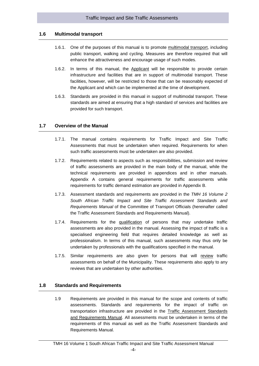# **1.6 Multimodal transport**

- <span id="page-10-0"></span>1.6.1. One of the purposes of this manual is to promote multimodal transport, including public transport, walking and cycling. Measures are therefore required that will enhance the attractiveness and encourage usage of such modes.
- 1.6.2. In terms of this manual, the Applicant will be responsible to provide certain infrastructure and facilities that are in support of multimodal transport. These facilities, however, will be restricted to those that can be reasonably expected of the Applicant and which can be implemented at the time of development.
- 1.6.3. Standards are provided in this manual in support of multimodal transport. These standards are aimed at ensuring that a high standard of services and facilities are provided for such transport.

#### <span id="page-10-1"></span>**1.7 Overview of the Manual**

- 1.7.1. The manual contains requirements for Traffic Impact and Site Traffic Assessments that must be undertaken when required. Requirements for when such traffic assessments must be undertaken are also provided.
- 1.7.2. Requirements related to aspects such as responsibilities, submission and review of traffic assessments are provided in the main body of the manual, while the technical requirements are provided in appendices and in other manuals. Appendix A contains general requirements for traffic assessments while requirements for traffic demand estimation are provided in Appendix B.
- 1.7.3. Assessment standards and requirements are provided in the *TMH 16 Volume 2 South African Traffic Impact and Site Traffic Assessment Standards and Requirements Manual* of the Committee of Transport Officials (hereinafter called the Traffic Assessment Standards and Requirements Manual).
- 1.7.4. Requirements for the qualification of persons that may undertake traffic assessments are also provided in the manual. Assessing the impact of traffic is a specialised engineering field that requires detailed knowledge as well as professionalism. In terms of this manual, such assessments may thus only be undertaken by professionals with the qualifications specified in the manual.
- 1.7.5. Similar requirements are also given for persons that will review traffic assessments on behalf of the Municipality. These requirements also apply to any reviews that are undertaken by other authorities.

# <span id="page-10-2"></span>**1.8 Standards and Requirements**

1.9 Requirements are provided in this manual for the scope and contents of traffic assessments. Standards and requirements for the impact of traffic on transportation infrastructure are provided in the Traffic Assessment Standards and Requirements Manual. All assessments must be undertaken in terms of the requirements of this manual as well as the Traffic Assessment Standards and Requirements Manual.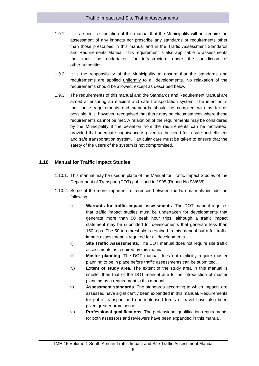- 1.9.1. It is a specific stipulation of this manual that the Municipality will not require the assessment of any impacts nor prescribe any standards or requirements other than those prescribed in this manual and in the Traffic Assessment Standards and Requirements Manual. This requirement is also applicable to assessments that must be undertaken for infrastructure under the jurisdiction of other authorities.
- 1.9.2. It is the responsibility of the Municipality to ensure that the standards and requirements are applied uniformly to all developments. No relaxation of the requirements should be allowed, except as described below.
- 1.9.3. The requirements of this manual and the Standards and Requirement Manual are aimed at ensuring an efficient and safe transportation system. The intention is that these requirements and standards should be complied with as far as possible. It is, however, recognised that there may be circumstances where these requirements cannot be met. A relaxation of the requirements may be considered by the Municipality if the deviation from the requirements can be motivated, provided that adequate cognisance is given to the need for a safe and efficient and safe transportation system. Particular care must be taken to ensure that the safety of the users of the system is not compromised.

# <span id="page-11-0"></span>**1.10 Manual for Traffic Impact Studies**

- 1.10.1. This manual may be used in place of the Manual for Traffic Impact Studies of the Department of Transport (DOT) published in 1995 (Report No 93/635).
- 1.10.2. Some of the more important differences between the two manuals include the following:
	- i) **Warrants for traffic impact assessments**. The DOT manual requires that traffic impact studies must be undertaken for developments that generate more than 50 peak hour trips, although a traffic impact statement may be submitted for developments that generate less than 150 trips. The 50 trip threshold is retained in this manual but a full traffic impact assessment is required for all developments.
	- ii) **Site Traffic Assessments**. The DOT manual does not require site traffic assessments as required by this manual.
	- iii) **Master planning**. The DOT manual does not explicitly require master planning to be in place before traffic assessments can be submitted.
	- iv) **Extent of study area**. The extent of the study area in this manual is smaller than that of the DOT manual due to the introduction of master planning as a requirement in this manual.
	- v) **Assessment standards**. The standards according to which impacts are assessed have significantly been expanded in this manual. Requirements for public transport and non-motorised forms of travel have also been given greater prominence.
	- vi) **Professional qualifications**. The professional qualification requirements for both assessors and reviewers have been expanded in this manual.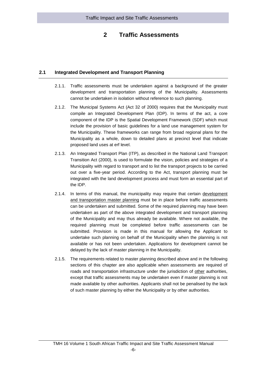# **2 Traffic Assessments**

# <span id="page-12-0"></span>**2.1 Integrated Development and Transport Planning**

- <span id="page-12-1"></span>2.1.1. Traffic assessments must be undertaken against a background of the greater development and transportation planning of the Municipality. Assessments cannot be undertaken in isolation without reference to such planning.
- 2.1.2. The Municipal Systems Act (Act 32 of 2000) requires that the Municipality must compile an Integrated Development Plan (IDP). In terms of the act, a core component of the IDP is the Spatial Development Framework (SDF) which must include the provision of basic guidelines for a land use management system for the Municipality. These frameworks can range from broad regional plans for the Municipality as a whole, down to detailed plans at precinct level that indicate proposed land uses at erf level.
- 2.1.3. An Integrated Transport Plan (ITP), as described in the National Land Transport Transition Act (2000), is used to formulate the vision, policies and strategies of a Municipality with regard to transport and to list the transport projects to be carried out over a five-year period. According to the Act, transport planning must be integrated with the land development process and must form an essential part of the IDP.
- 2.1.4. In terms of this manual, the municipality may require that certain development and transportation master planning must be in place before traffic assessments can be undertaken and submitted. Some of the required planning may have been undertaken as part of the above integrated development and transport planning of the Municipality and may thus already be available. Where not available, the required planning must be completed before traffic assessments can be submitted. Provision is made in this manual for allowing the Applicant to undertake such planning on behalf of the Municipality when the planning is not available or has not been undertaken. Applications for development cannot be delayed by the lack of master planning in the Municipality.
- 2.1.5. The requirements related to master planning described above and in the following sections of this chapter are also applicable when assessments are required of roads and transportation infrastructure under the jurisdiction of other authorities, except that traffic assessments may be undertaken even if master planning is not made available by other authorities. Applicants shall not be penalised by the lack of such master planning by either the Municipality or by other authorities.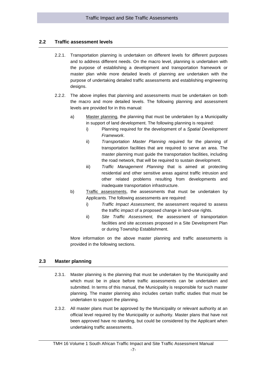# <span id="page-13-0"></span>**2.2 Traffic assessment levels**

- 2.2.1. Transportation planning is undertaken on different levels for different purposes and to address different needs. On the macro level, planning is undertaken with the purpose of establishing a development and transportation framework or master plan while more detailed levels of planning are undertaken with the purpose of undertaking detailed traffic assessments and establishing engineering designs.
- 2.2.2. The above implies that planning and assessments must be undertaken on both the macro and more detailed levels. The following planning and assessment levels are provided for in this manual:
	- a) Master planning, the planning that must be undertaken by a Municipality in support of land development. The following planning is required:
		- i) Planning required for the development of a *Spatial Development Framework*.
		- ii) *Transportation Master Planning* required for the planning of transportation facilities that are required to serve an area. The master planning must guide the transportation facilities, including the road network, that will be required to sustain development.
		- iii) *Traffic Management Planning* that is aimed at protecting residential and other sensitive areas against traffic intrusion and other related problems resulting from developments and inadequate transportation infrastructure.
	- b) Traffic assessments, the assessments that must be undertaken by Applicants. The following assessments are required:
		- i) *Traffic Impact Assessment*, the assessment required to assess the traffic impact of a proposed change in land-use rights.
		- ii) *Site Traffic Assessment,* the assessment of transportation facilities and site accesses proposed in a Site Development Plan or during Township Establishment.

More information on the above master planning and traffic assessments is provided in the following sections.

# <span id="page-13-1"></span>**2.3 Master planning**

- 2.3.1. Master planning is the planning that must be undertaken by the Municipality and which must be in place before traffic assessments can be undertaken and submitted. In terms of this manual, the Municipality is responsible for such master planning. The master planning also includes certain traffic studies that must be undertaken to support the planning.
- 2.3.2. All master plans must be approved by the Municipality or relevant authority at an official level required by the Municipality or authority. Master plans that have not been approved have no standing, but could be considered by the Applicant when undertaking traffic assessments.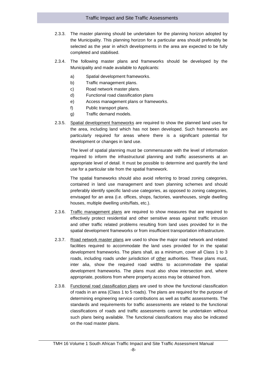## Traffic Impact and Site Traffic Assessments

- 2.3.3. The master planning should be undertaken for the planning horizon adopted by the Municipality. This planning horizon for a particular area should preferably be selected as the year in which developments in the area are expected to be fully completed and stabilised.
- 2.3.4. The following master plans and frameworks should be developed by the Municipality and made available to Applicants:
	- a) Spatial development frameworks.
	- b) Traffic management plans.
	- c) Road network master plans.
	- d) Functional road classification plans
	- e) Access management plans or frameworks.
	- f) Public transport plans.
	- g) Traffic demand models.
- 2.3.5. Spatial development frameworks are required to show the planned land uses for the area, including land which has not been developed. Such frameworks are particularly required for areas where there is a significant potential for development or changes in land use.

The level of spatial planning must be commensurate with the level of information required to inform the infrastructural planning and traffic assessments at an appropriate level of detail. It must be possible to determine and quantify the land use for a particular site from the spatial framework.

The spatial frameworks should also avoid referring to broad zoning categories, contained in land use management and town planning schemes and should preferably identify specific land-use categories, as opposed to zoning categories, envisaged for an area (i.e. offices, shops, factories, warehouses, single dwelling houses, multiple dwelling units/flats, etc.).

- 2.3.6. Traffic management plans are required to show measures that are required to effectively protect residential and other sensitive areas against traffic intrusion and other traffic related problems resulting from land uses provided for in the spatial development frameworks or from insufficient transportation infrastructure.
- 2.3.7. Road network master plans are used to show the major road network and related facilities required to accommodate the land uses provided for in the spatial development frameworks. The plans shall, as a minimum, cover all Class 1 to 3 roads, including roads under jurisdiction of other authorities. These plans must, inter alia, show the required road widths to accommodate the spatial development frameworks. The plans must also show intersection and, where appropriate, positions from where property access may be obtained from.
- 2.3.8. Functional road classification plans are used to show the functional classification of roads in an area (Class 1 to 5 roads). The plans are required for the purpose of determining engineering service contributions as well as traffic assessments. The standards and requirements for traffic assessments are related to the functional classifications of roads and traffic assessments cannot be undertaken without such plans being available. The functional classifications may also be indicated on the road master plans.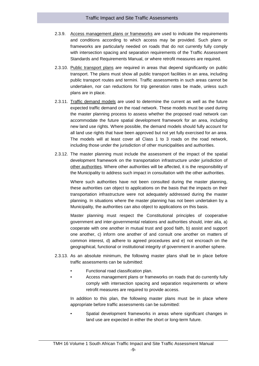- 2.3.9. Access management plans or frameworks are used to indicate the requirements and conditions according to which access may be provided. Such plans or frameworks are particularly needed on roads that do not currently fully comply with intersection spacing and separation requirements of the Traffic Assessment Standards and Requirements Manual, or where retrofit measures are required.
- 2.3.10. Public transport plans are required in areas that depend significantly on public transport. The plans must show all public transport facilities in an area, including public transport routes and termini. Traffic assessments in such areas cannot be undertaken, nor can reductions for trip generation rates be made, unless such plans are in place.
- 2.3.11. Traffic demand models are used to determine the current as well as the future expected traffic demand on the road network. These models must be used during the master planning process to assess whether the proposed road network can accommodate the future spatial development framework for an area, including new land use rights. Where possible, the demand models should fully account for all land use rights that have been approved but not yet fully exercised for an area. The models will at least cover all Class 1 to 3 roads on the road network, including those under the jurisdiction of other municipalities and authorities.
- 2.3.12. The master planning must include the assessment of the impact of the spatial development framework on the transportation infrastructure under jurisdiction of other authorities. Where other authorities will be affected, it is the responsibility of the Municipality to address such impact in consultation with the other authorities.

Where such authorities have not been consulted during the master planning, these authorities can object to applications on the basis that the impacts on their transportation infrastructure were not adequately addressed during the master planning. In situations where the master planning has not been undertaken by a Municipality, the authorities can also object to applications on this basis.

Master planning must respect the Constitutional principles of cooperative government and inter-governmental relations and authorities should, inter alia, a) cooperate with one another in mutual trust and good faith, b) assist and support one another, c) inform one another of and consult one another on matters of common interest, d) adhere to agreed procedures and e) not encroach on the geographical, functional or institutional integrity of government in another sphere.

- 2.3.13. As an absolute minimum, the following master plans shall be in place before traffic assessments can be submitted:
	- Functional road classification plan.
	- Access management plans or frameworks on roads that do currently fully comply with intersection spacing and separation requirements or where retrofit measures are required to provide access.

In addition to this plan, the following master plans must be in place where appropriate before traffic assessments can be submitted:

• Spatial development frameworks in areas where significant changes in land use are expected in either the short or long-term future.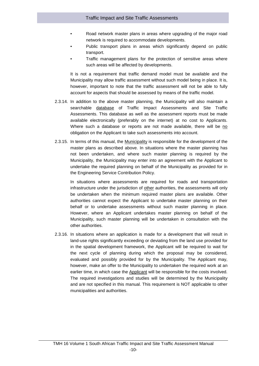- Road network master plans in areas where upgrading of the major road network is required to accommodate developments.
- Public transport plans in areas which significantly depend on public transport.
- Traffic management plans for the protection of sensitive areas where such areas will be affected by developments.

It is not a requirement that traffic demand model must be available and the Municipality may allow traffic assessment without such model being in place. It is, however, important to note that the traffic assessment will not be able to fully account for aspects that should be assessed by means of the traffic model.

- 2.3.14. In addition to the above master planning, the Municipality will also maintain a searchable database of Traffic Impact Assessments and Site Traffic Assessments. This database as well as the assessment reports must be made available electronically (preferably on the internet) at no cost to Applicants. Where such a database or reports are not made available, there will be no obligation on the Applicant to take such assessments into account.
- 2.3.15. In terms of this manual, the Municipality is responsible for the development of the master plans as described above. In situations where the master planning has not been undertaken, and where such master planning is required by the Municipality, the Municipality may enter into an agreement with the Applicant to undertake the required planning on behalf of the Municipality as provided for in the Engineering Service Contribution Policy.

In situations where assessments are required for roads and transportation infrastructure under the jurisdiction of other authorities, the assessments will only be undertaken when the minimum required master plans are available. Other authorities cannot expect the Applicant to undertake master planning on their behalf or to undertake assessments without such master planning in place. However, where an Applicant undertakes master planning on behalf of the Municipality, such master planning will be undertaken in consultation with the other authorities.

2.3.16. In situations where an application is made for a development that will result in land-use rights significantly exceeding or deviating from the land use provided for in the spatial development framework, the Applicant will be required to wait for the next cycle of planning during which the proposal may be considered, evaluated and possibly provided for by the Municipality. The Applicant may, however, make an offer to the Municipality to undertaken the required work at an earlier time, in which case the Applicant will be responsible for the costs involved. The required investigations and studies will be determined by the Municipality and are not specified in this manual. This requirement is NOT applicable to other municipalities and authorities.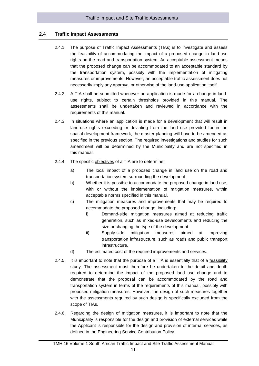# **2.4 Traffic Impact Assessments**

- <span id="page-17-0"></span>2.4.1. The purpose of Traffic Impact Assessments (TIAs) is to investigate and assess the feasibility of accommodating the impact of a proposed change in land-use rights on the road and transportation system. An acceptable assessment means that the proposed change can be accommodated to an acceptable standard by the transportation system, possibly with the implementation of mitigating measures or improvements. However, an acceptable traffic assessment does not necessarily imply any approval or otherwise of the land-use application itself.
- 2.4.2. A TIA shall be submitted whenever an application is made for a change in landuse rights, subject to certain thresholds provided in this manual. The assessments shall be undertaken and reviewed in accordance with the requirements of this manual.
- 2.4.3. In situations where an application is made for a development that will result in land-use rights exceeding or deviating from the land use provided for in the spatial development framework, the master planning will have to be amended as specified in the previous section. The required investigations and studies for such amendment will be determined by the Municipality and are not specified in this manual.
- 2.4.4. The specific objectives of a TIA are to determine:
	- a) The local impact of a proposed change in land use on the road and transportation system surrounding the development.
	- b) Whether it is possible to accommodate the proposed change in land use, with or without the implementation of mitigation measures, within acceptable norms specified in this manual.
	- c) The mitigation measures and improvements that may be required to accommodate the proposed change, including:
		- i) Demand-side mitigation measures aimed at reducing traffic generation, such as mixed-use developments and reducing the size or changing the type of the development.
		- ii) Supply-side mitigation measures aimed at improving transportation infrastructure, such as roads and public transport infrastructure.
	- d) The estimated cost of the required improvements and services.
- 2.4.5. It is important to note that the purpose of a TIA is essentially that of a feasibility study. The assessment must therefore be undertaken to the detail and depth required to determine the impact of the proposed land use change and to demonstrate that the proposal can be accommodated by the road and transportation system in terms of the requirements of this manual, possibly with proposed mitigation measures. However, the design of such measures together with the assessments required by such design is specifically excluded from the scope of TIAs.
- 2.4.6. Regarding the design of mitigation measures, it is important to note that the Municipality is responsible for the design and provision of external services while the Applicant is responsible for the design and provision of internal services, as defined in the Engineering Service Contribution Policy.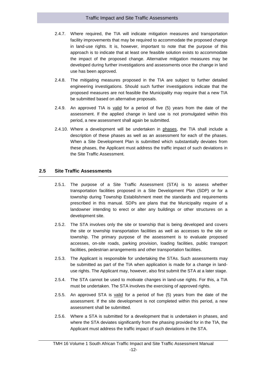## Traffic Impact and Site Traffic Assessments

- 2.4.7. Where required, the TIA will indicate mitigation measures and transportation facility improvements that may be required to accommodate the proposed change in land-use rights. It is, however, important to note that the purpose of this approach is to indicate that at least one feasible solution exists to accommodate the impact of the proposed change. Alternative mitigation measures may be developed during further investigations and assessments once the change in land use has been approved.
- 2.4.8. The mitigating measures proposed in the TIA are subject to further detailed engineering investigations. Should such further investigations indicate that the proposed measures are not feasible the Municipality may require that a new TIA be submitted based on alternative proposals.
- 2.4.9. An approved TIA is valid for a period of five (5) years from the date of the assessment. If the applied change in land use is not promulgated within this period, a new assessment shall again be submitted.
- 2.4.10. Where a development will be undertaken in phases, the TIA shall include a description of these phases as well as an assessment for each of the phases. When a Site Development Plan is submitted which substantially deviates from these phases, the Applicant must address the traffic impact of such deviations in the Site Traffic Assessment.

# <span id="page-18-0"></span>**2.5 Site Traffic Assessments**

- 2.5.1. The purpose of a Site Traffic Assessment (STA) is to assess whether transportation facilities proposed in a Site Development Plan (SDP) or for a township during Township Establishment meet the standards and requirements prescribed in this manual. SDPs are plans that the Municipality require of a landowner intending to erect or alter any buildings or other structures on a development site.
- 2.5.2. The STA involves only the site or township that is being developed and covers the site or township transportation facilities as well as accesses to the site or township. The primary purpose of the assessment is to evaluate proposed accesses, on-site roads, parking provision, loading facilities, public transport facilities, pedestrian arrangements and other transportation facilities.
- 2.5.3. The Applicant is responsible for undertaking the STAs. Such assessments may be submitted as part of the TIA when application is made for a change in landuse rights. The Applicant may, however, also first submit the STA at a later stage.
- 2.5.4. The STA cannot be used to motivate changes in land-use rights. For this, a TIA must be undertaken. The STA involves the exercising of approved rights.
- 2.5.5. An approved STA is valid for a period of five (5) years from the date of the assessment. If the site development is not completed within this period, a new assessment shall be submitted.
- 2.5.6. Where a STA is submitted for a development that is undertaken in phases, and where the STA deviates significantly from the phasing provided for in the TIA, the Applicant must address the traffic impact of such deviations in the STA.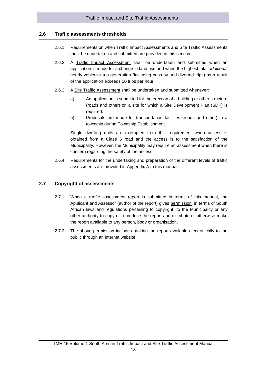# **2.6 Traffic assessments thresholds**

- <span id="page-19-0"></span>2.6.1. Requirements on when Traffic Impact Assessments and Site Traffic Assessments must be undertaken and submitted are provided in this section.
- 2.6.2. A Traffic Impact Assessment shall be undertaken and submitted when an application is made for a change in land use and when the highest total *additional* hourly vehicular trip generation (including pass-by and diverted trips) as a result of the application exceeds 50 trips per hour.
- 2.6.3. A Site Traffic Assessment shall be undertaken and submitted whenever:
	- a) An application is submitted for the erection of a building or other structure (roads and other) on a site for which a Site Development Plan (SDP) is required.
	- b) Proposals are made for transportation facilities (roads and other) in a township during Township Establishment.

Single dwelling units are exempted from this requirement when access is obtained from a Class 5 road and the access is to the satisfaction of the Municipality. However, the Municipality may require an assessment when there is concern regarding the safety of the access.

<span id="page-19-1"></span>2.6.4. Requirements for the undertaking and preparation of the different levels of traffic assessments are provided in Appendix A to this manual.

# **2.7 Copyright of assessments**

- 2.7.1. When a traffic assessment report is submitted in terms of this manual, the Applicant and Assessor (author of the report) gives permission, in terms of South African laws and regulations pertaining to copyright, to the Municipality or any other authority to copy or reproduce the report and distribute or otherwise make the report available to any person, body or organisation.
- 2.7.2. The above permission includes making the report available electronically to the public through an internet website.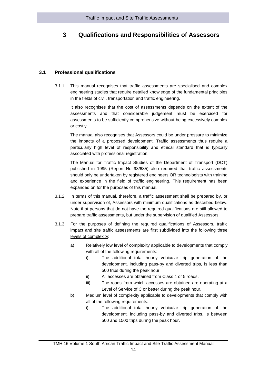# <span id="page-20-0"></span>**3 Qualifications and Responsibilities of Assessors**

# **3.1 Professional qualifications**

<span id="page-20-1"></span>3.1.1. This manual recognises that traffic assessments are specialised and complex engineering studies that require detailed knowledge of the fundamental principles in the fields of civil, transportation and traffic engineering.

It also recognises that the cost of assessments depends on the extent of the assessments and that considerable judgement must be exercised for assessments to be sufficiently comprehensive without being excessively complex or costly.

The manual also recognises that Assessors could be under pressure to minimize the impacts of a proposed development. Traffic assessments thus require a particularly high level of responsibility and ethical standard that is typically associated with professional registration.

The Manual for Traffic Impact Studies of the Department of Transport (DOT) published in 1995 (Report No 93/635) also required that traffic assessments should only be undertaken by registered engineers OR technologists with training and experience in the field of traffic engineering. This requirement has been expanded on for the purposes of this manual.

- 3.1.2. In terms of this manual, therefore, a traffic assessment shall be prepared by, or under supervision of, Assessors with minimum qualifications as described below. Note that persons that do not have the required qualifications are still allowed to prepare traffic assessments, but under the supervision of qualified Assessors.
- 3.1.3. For the purposes of defining the required qualifications of Assessors, traffic impact and site traffic assessments are first subdivided into the following three levels of complexity:
	- a) Relatively low level of complexity applicable to developments that comply with all of the following requirements:
		- i) The additional total hourly vehicular trip generation of the development, including pass-by and diverted trips, is less than 500 trips during the peak hour.
		- ii) All accesses are obtained from Class 4 or 5 roads.
		- iii) The roads from which accesses are obtained are operating at a Level of Service of C or better during the peak hour.
	- b) Medium level of complexity applicable to developments that comply with all of the following requirements:
		- i) The additional total hourly vehicular trip generation of the development, including pass-by and diverted trips, is between 500 and 1500 trips during the peak hour.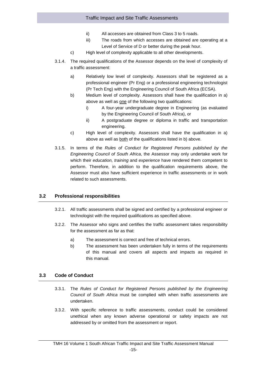- ii) All accesses are obtained from Class 3 to 5 roads.
- iii) The roads from which accesses are obtained are operating at a Level of Service of D or better during the peak hour.
- c) High level of complexity applicable to all other developments.
- 3.1.4. The required qualifications of the Assessor depends on the level of complexity of a traffic assessment:
	- a) Relatively low level of complexity. Assessors shall be registered as a professional engineer (Pr Eng) or a professional engineering technologist (Pr Tech Eng) with the Engineering Council of South Africa (ECSA).
	- b) Medium level of complexity. Assessors shall have the qualification in a) above as well as one of the following two qualifications:
		- i) A four-year undergraduate degree in Engineering (as evaluated by the Engineering Council of South Africa), or
		- ii) A postgraduate degree or diploma in traffic and transportation engineering.
	- c) High level of complexity. Assessors shall have the qualification in a) above as well as both of the qualifications listed in b) above.
- 3.1.5. In terms of the *Rules of Conduct for Registered Persons published by the Engineering Council of South Africa*, the Assessor may only undertake work for which their *education, training* and *experience* have rendered them competent to perform. Therefore, in addition to the qualification requirements above, the Assessor must also have sufficient experience in traffic assessments or in work related to such assessments.

# <span id="page-21-0"></span>**3.2 Professional responsibilities**

- 3.2.1. All traffic assessments shall be signed and certified by a professional engineer or technologist with the required qualifications as specified above.
- 3.2.2. The Assessor who signs and certifies the traffic assessment takes responsibility for the assessment as far as that:
	- a) The assessment is correct and free of technical errors.
	- b) The assessment has been undertaken fully in terms of the requirements of this manual and covers all aspects and impacts as required in this manual.

# <span id="page-21-1"></span>**3.3 Code of Conduct**

- 3.3.1. The *Rules of Conduct for Registered Persons published by the Engineering Council of South Africa* must be complied with when traffic assessments are undertaken.
- 3.3.2. With specific reference to traffic assessments, conduct could be considered unethical when any known adverse operational or safety impacts are not addressed by or omitted from the assessment or report.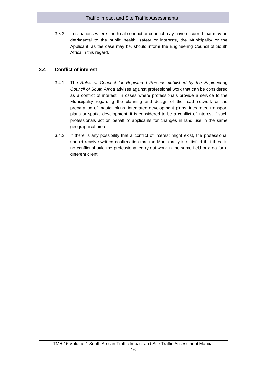# Traffic Impact and Site Traffic Assessments

3.3.3. In situations where unethical conduct or conduct may have occurred that may be detrimental to the public health, safety or interests, the Municipality or the Applicant, as the case may be, should inform the Engineering Council of South Africa in this regard.

# <span id="page-22-0"></span>**3.4 Conflict of interest**

- 3.4.1. The *Rules of Conduct for Registered Persons published by the Engineering Council of South Africa* advises against professional work that can be considered as a conflict of interest. In cases where professionals provide a service to the Municipality regarding the planning and design of the road network or the preparation of master plans, integrated development plans, integrated transport plans or spatial development, it is considered to be a conflict of interest if such professionals act on behalf of applicants for changes in land use in the same geographical area.
- 3.4.2. If there is any possibility that a conflict of interest might exist, the professional should receive written confirmation that the Municipality is satisfied that there is no conflict should the professional carry out work in the same field or area for a different client.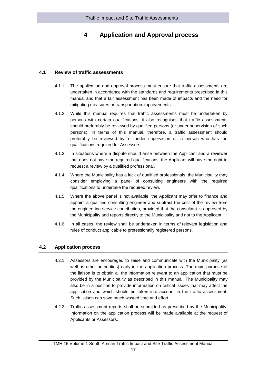# <span id="page-23-0"></span>**4 Application and Approval process**

## **4.1 Review of traffic assessments**

- <span id="page-23-1"></span>4.1.1. The application and approval process must ensure that traffic assessments are undertaken in accordance with the standards and requirements prescribed in this manual and that a fair assessment has been made of impacts and the need for mitigating measures or transportation improvements.
- 4.1.2. While this manual requires that traffic assessments must be undertaken by persons with certain qualifications, it also recognises that traffic assessments should preferably be reviewed by qualified persons (or under supervision of such persons). In terms of this manual, therefore, a traffic assessment should preferably be reviewed by, or under supervision of, a person who has the qualifications required for Assessors.
- 4.1.3. In situations where a dispute should arise between the Applicant and a reviewer that does not have the required qualifications, the Applicant will have the right to request a review by a qualified professional.
- 4.1.4. Where the Municipality has a lack of qualified professionals, the Municipality may consider employing a panel of consulting engineers with the required qualifications to undertake the required review.
- 4.1.5. Where the above panel is not available, the Applicant may offer to finance and appoint a qualified consulting engineer and subtract the cost of the review from the engineering service contribution, provided that the consultant is approved by the Municipality and reports directly to the Municipality and not to the Applicant.
- <span id="page-23-2"></span>4.1.6. In all cases, the review shall be undertaken in terms of relevant legislation and rules of conduct applicable to professionally registered persons.

# **4.2 Application process**

- 4.2.1. Assessors are encouraged to liaise and communicate with the Municipality (as well as other authorities) early in the application process. The main purpose of the liaison is to obtain all the information relevant to an application that must be provided by the Municipality as described in this manual. The Municipality may also be in a position to provide information on critical issues that may affect the application and which should be taken into account in the traffic assessment. Such liaison can save much wasted time and effort.
- 4.2.2. Traffic assessment reports shall be submitted as prescribed by the Municipality. Information on the application process will be made available at the request of Applicants or Assessors.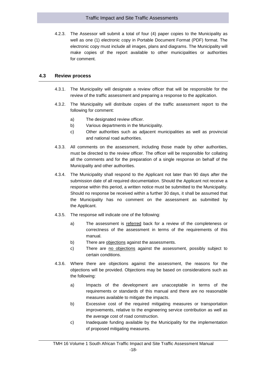4.2.3. The Assessor will submit a total of four (4) paper copies to the Municipality as well as one (1) electronic copy in Portable Document Format (PDF) format. The electronic copy must include all images, plans and diagrams. The Municipality will make copies of the report available to other municipalities or authorities for comment.

# <span id="page-24-0"></span>**4.3 Review process**

- 4.3.1. The Municipality will designate a review officer that will be responsible for the review of the traffic assessment and preparing a response to the application.
- 4.3.2. The Municipality will distribute copies of the traffic assessment report to the following for comment:
	- a) The designated review officer.
	- b) Various departments in the Municipality.
	- c) Other authorities such as adjacent municipalities as well as provincial and national road authorities.
- 4.3.3. All comments on the assessment, including those made by other authorities, must be directed to the review officer. The officer will be responsible for collating all the comments and for the preparation of a single response on behalf of the Municipality and other authorities.
- 4.3.4. The Municipality shall respond to the Applicant not later than 90 days after the submission date of all required documentation. Should the Applicant not receive a response within this period, a written notice must be submitted to the Municipality. Should no response be received within a further 30 days, it shall be assumed that the Municipality has no comment on the assessment as submitted by the Applicant.
- 4.3.5. The response will indicate one of the following:
	- a) The assessment is referred back for a review of the completeness or correctness of the assessment in terms of the requirements of this manual.
	- b) There are objections against the assessments.
	- c) There are no objections against the assessment, possibly subject to certain conditions.
- 4.3.6. Where there are objections against the assessment, the reasons for the objections will be provided. Objections may be based on considerations such as the following:
	- a) Impacts of the development are unacceptable in terms of the requirements or standards of this manual and there are no reasonable measures available to mitigate the impacts.
	- b) Excessive cost of the required mitigating measures or transportation improvements, relative to the engineering service contribution as well as the average cost of road construction.
	- c) Inadequate funding available by the Municipality for the implementation of proposed mitigating measures.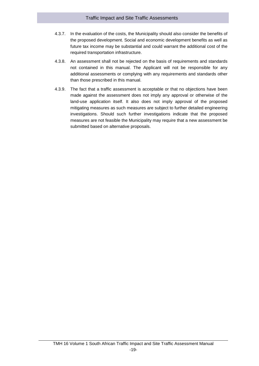# Traffic Impact and Site Traffic Assessments

- 4.3.7. In the evaluation of the costs, the Municipality should also consider the benefits of the proposed development. Social and economic development benefits as well as future tax income may be substantial and could warrant the additional cost of the required transportation infrastructure.
- 4.3.8. An assessment shall not be rejected on the basis of requirements and standards not contained in this manual. The Applicant will not be responsible for any additional assessments or complying with any requirements and standards other than those prescribed in this manual.
- 4.3.9. The fact that a traffic assessment is acceptable or that no objections have been made against the assessment does not imply any approval or otherwise of the land-use application itself. It also does not imply approval of the proposed mitigating measures as such measures are subject to further detailed engineering investigations. Should such further investigations indicate that the proposed measures are not feasible the Municipality may require that a new assessment be submitted based on alternative proposals.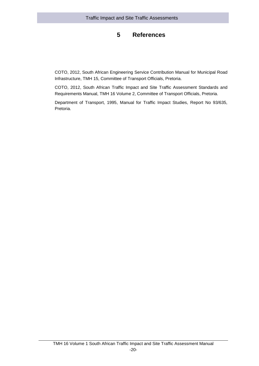# **5 References**

<span id="page-26-0"></span>COTO, 2012, South African Engineering Service Contribution Manual for Municipal Road Infrastructure, TMH 15, Committee of Transport Officials, Pretoria.

COTO, 2012, South African Traffic Impact and Site Traffic Assessment Standards and Requirements Manual, TMH 16 Volume 2, Committee of Transport Officials, Pretoria.

Department of Transport, 1995, Manual for Traffic Impact Studies, Report No 93/635, Pretoria.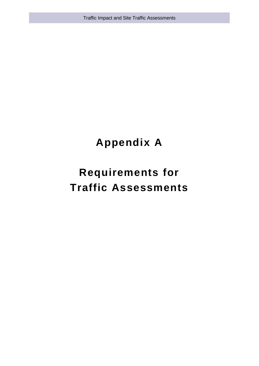Traffic Impact and Site Traffic Assessments

# **Appendix A**

# **Requirements for Traffic Assessments**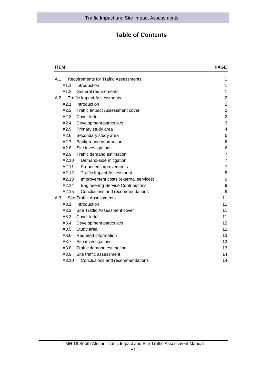# **Table of Contents**

| <b>ITEM</b> | <b>PAGE</b>                                 |                |
|-------------|---------------------------------------------|----------------|
| A.1         | <b>Requirements for Traffic Assessments</b> | 1              |
| A1.1        | Introduction                                | 1              |
| A1.2        | General requirements                        | 1              |
| A.2         | <b>Traffic Impact Assessments</b>           | $\overline{2}$ |
| A2.1        | Introduction                                | $\overline{2}$ |
| A2.2        | <b>Traffic Impact Assessment cover</b>      | $\overline{c}$ |
| A2.3        | Cover letter                                | $\overline{2}$ |
| A2.4        | Development particulars                     | 3              |
| A2.5        | Primary study area                          | $\overline{4}$ |
| A2.6        | Secondary study area                        | 5              |
| A2.7        | Background information                      | 6              |
| A2.8        | Site investigations                         | $\,6$          |
| A2.9        | Traffic demand estimation                   | $\overline{7}$ |
| A2.10       | Demand-side mitigation                      | $\overline{7}$ |
| A2.11       | Proposed improvements                       | $\overline{7}$ |
| A2.12       | <b>Traffic Impact Assessment</b>            | 8              |
| A2.13       | Improvement costs (external services)       | 9              |
| A2.14       | <b>Engineering Service Contributions</b>    | 9              |
| A2.15       | Conclusions and recommendations             | 9              |
| A.3         | <b>Site Traffic Assessments</b>             | 11             |
| A3.1        | Introduction                                | 11             |
| A3.2        | Site Traffic Assessment cover               | 11             |
| A3.3        | Cover letter                                | 11             |
| A3.4        | Development particulars                     | 12             |
| A3.5        | Study area                                  | 12             |
| A3.6        | Required information                        | 13             |
| A3.7        | Site investigations                         | 13             |
| A3.8        | Traffic demand estimation                   | 13             |
| A3.9        | Site traffic assessment                     | 14             |
| A3.10       | Conclusions and recommendations             | 14             |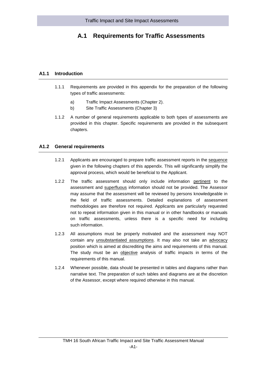# <span id="page-29-0"></span>**A.1 Requirements for Traffic Assessments**

# **A1.1 Introduction**

- <span id="page-29-1"></span>1.1.1 Requirements are provided in this appendix for the preparation of the following types of traffic assessments:
	- a) Traffic Impact Assessments (Chapter 2).
	- b) Site Traffic Assessments (Chapter 3)
- 1.1.2 A number of general requirements applicable to both types of assessments are provided in this chapter. Specific requirements are provided in the subsequent chapters.

#### <span id="page-29-2"></span>**A1.2 General requirements**

- 1.2.1 Applicants are encouraged to prepare traffic assessment reports in the sequence given in the following chapters of this appendix. This will significantly simplify the approval process, which would be beneficial to the Applicant.
- 1.2.2 The traffic assessment should only include information pertinent to the assessment and superfluous information should not be provided. The Assessor may assume that the assessment will be reviewed by persons knowledgeable in the field of traffic assessments. Detailed explanations of assessment methodologies are therefore not required. Applicants are particularly requested not to repeat information given in this manual or in other handbooks or manuals on traffic assessments, unless there is a specific need for including such information.
- 1.2.3 All assumptions must be properly motivated and the assessment may NOT contain any unsubstantiated assumptions. It may also not take an advocacy position which is aimed at discrediting the aims and requirements of this manual. The study must be an objective analysis of traffic impacts in terms of the requirements of this manual.
- 1.2.4 Whenever possible, data should be presented in tables and diagrams rather than narrative text. The preparation of such tables and diagrams are at the discretion of the Assessor, except where required otherwise in this manual.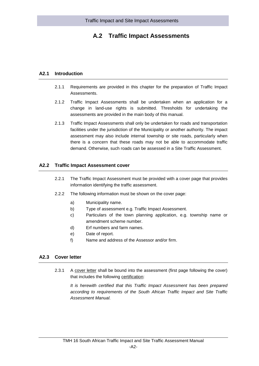# <span id="page-30-0"></span>**A.2 Traffic Impact Assessments**

# **A2.1 Introduction**

- <span id="page-30-1"></span>2.1.1 Requirements are provided in this chapter for the preparation of Traffic Impact Assessments.
- 2.1.2 Traffic Impact Assessments shall be undertaken when an application for a change in land-use rights is submitted. Thresholds for undertaking the assessments are provided in the main body of this manual.
- 2.1.3 Traffic Impact Assessments shall only be undertaken for roads and transportation facilities under the jurisdiction of the Municipality or another authority. The impact assessment may also include internal township or site roads, particularly when there is a concern that these roads may not be able to accommodate traffic demand. Otherwise, such roads can be assessed in a Site Traffic Assessment.

#### <span id="page-30-2"></span>**A2.2 Traffic Impact Assessment cover**

- 2.2.1 The Traffic Impact Assessment must be provided with a cover page that provides information identifying the traffic assessment.
- 2.2.2 The following information must be shown on the cover page:
	- a) Municipality name.
	- b) Type of assessment e.g. Traffic Impact Assessment.
	- c) Particulars of the town planning application, e.g. township name or amendment scheme number.
	- d) Erf numbers and farm names.
	- e) Date of report.
	- f) Name and address of the Assessor and/or firm.

# <span id="page-30-3"></span>**A2.3 Cover letter**

2.3.1 A cover letter shall be bound into the assessment (first page following the cover) that includes the following certification:

*It is herewith certified that this Traffic Impact Assessment has been prepared according to requirements of the South African Traffic Impact and Site Traffic Assessment Manual.*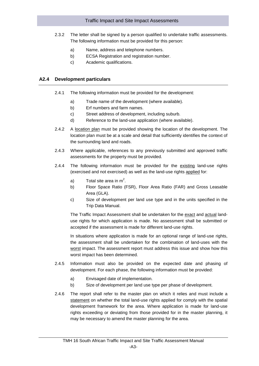- 2.3.2 The letter shall be signed by a person qualified to undertake traffic assessments. The following information must be provided for this person:
	- a) Name, address and telephone numbers.
	- b) ECSA Registration and registration number.
	- c) Academic qualifications.

#### <span id="page-31-0"></span>**A2.4 Development particulars**

- 2.4.1 The following information must be provided for the development:
	- a) Trade name of the development (where available).
	- b) Erf numbers and farm names.
	- c) Street address of development, including suburb.
	- d) Reference to the land-use application (where available).
- 2.4.2 A location plan must be provided showing the location of the development. The location plan must be at a scale and detail that sufficiently identifies the context of the surrounding land and roads.
- 2.4.3 Where applicable, references to any previously submitted and approved traffic assessments for the property must be provided.
- 2.4.4 The following information must be provided for the existing land-use rights (exercised and not exercised) as well as the land-use rights applied for:
	- a) Total site area in  $m^2$ .
	- b) Floor Space Ratio (FSR), Floor Area Ratio (FAR) and Gross Leasable Area (GLA).
	- c) Size of development per land use type and in the units specified in the Trip Data Manual.

The Traffic Impact Assessment shall be undertaken for the exact and actual landuse rights for which application is made. No assessment shall be submitted or accepted if the assessment is made for different land-use rights.

In situations where application is made for an optional range of land-use rights, the assessment shall be undertaken for the combination of land-uses with the worst impact. The assessment report must address this issue and show how this worst impact has been determined.

- 2.4.5 Information must also be provided on the expected date and phasing of development. For each phase, the following information must be provided:
	- a) Envisaged date of implementation.
	- b) Size of development per land use type per phase of development.
- 2.4.6 The report shall refer to the master plan on which it relies and must include a statement on whether the total land-use rights applied for comply with the spatial development framework for the area. Where application is made for land-use rights exceeding or deviating from those provided for in the master planning, it may be necessary to amend the master planning for the area.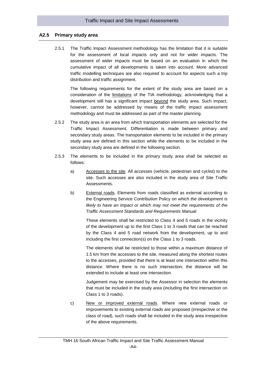#### **A2.5 Primary study area**

<span id="page-32-0"></span>2.5.1 The Traffic Impact Assessment methodology has the limitation that it is suitable for the assessment of local impacts only and not for wider impacts. The assessment of wider impacts must be based on an evaluation in which the cumulative impact of all developments is taken into account. More advanced traffic modelling techniques are also required to account for aspects such a trip distribution and traffic assignment.

The following requirements for the extent of the study area are based on a consideration of the limitations of the TIA methodology, acknowledging that a development still has a significant impact beyond the study area. Such impact, however, cannot be addressed by means of the traffic impact assessment methodology and must be addressed as part of the master planning.

- 2.5.2 The study area is an area from which transportation elements are selected for the Traffic Impact Assessment. Differentiation is made between primary and secondary study areas. The transportation elements to be included in the primary study area are defined in this section while the elements to be included in the secondary study area are defined in the following section.
- 2.5.3 The elements to be included in the primary study area shall be selected as follows:
	- a) Accesses to the site. All accesses (vehicle, pedestrian and cyclist) to the site. Such accesses are also included in the study area of Site Traffic Assessments.
	- b) External roads. Elements from roads classified as external according to the Engineering Service Contribution Policy *on which the development is likely to have an impact or which may not meet the requirements of the Traffic Assessment Standards and Requirements Manual*.

These elements shall be restricted to Class 4 and 5 roads in the vicinity of the development up to the first Class 1 to 3 roads that can be reached by the Class 4 and 5 road network from the development, up to and including the first connection(s) on the Class 1 to 3 roads.

The elements shall be restricted to those within a maximum distance of 1.5 km from the accesses to the site, measured along the shortest routes to the accesses, provided that there is at least one intersection within this distance. Where there is no such intersection, the distance will be extended to include at least one intersection.

Judgement may be exercised by the Assessor in selection the elements that must be included in the study area (including the first intersection on Class 1 to 3 roads).

c) New or improved external roads. Where new external roads or improvements to existing external roads are proposed (irrespective or the class of road), such roads shall be included in the study area irrespective of the above requirements.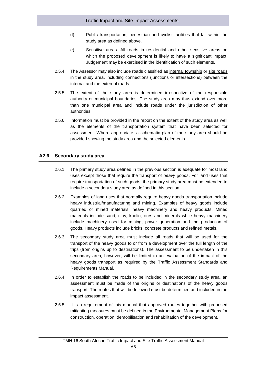- d) Public transportation, pedestrian and cyclist facilities that fall within the study area as defined above.
- e) Sensitive areas. All roads in residential and other sensitive areas on which the proposed development is likely to have a significant impact. Judgement may be exercised in the identification of such elements.
- 2.5.4 The Assessor may also include roads classified as internal township or site roads in the study area, including connections (junctions or intersections) between the internal and the external roads.
- 2.5.5 The extent of the study area is determined irrespective of the responsible authority or municipal boundaries. The study area may thus extend over more than one municipal area and include roads under the jurisdiction of other authorities.
- 2.5.6 Information must be provided in the report on the extent of the study area as well as the elements of the transportation system that have been selected for assessment. Where appropriate, a schematic plan of the study area should be provided showing the study area and the selected elements.

# <span id="page-33-0"></span>**A2.6 Secondary study area**

- 2.6.1 The primary study area defined in the previous section is adequate for most land uses except those that require the transport of *heavy goods*. For land uses that require transportation of such goods, the primary study area must be extended to include a secondary study area as defined in this section.
- 2.6.2 Examples of land uses that normally require heavy goods transportation include heavy industrial/manufacturing and mining. Examples of heavy goods include quarried or mined materials, heavy machinery and heavy products. Mined materials include sand, clay, kaolin, ores and minerals while heavy machinery include machinery used for mining, power generation and the production of goods. Heavy products include bricks, concrete products and refined metals.
- 2.6.3 The secondary study area must include all roads that will be used for the transport of the heavy goods to or from a development over the full length of the trips (from origins up to destinations). The assessment to be undertaken in this secondary area, however, will be limited to an evaluation of the impact of the heavy goods transport as required by the Traffic Assessment Standards and Requirements Manual.
- 2.6.4 In order to establish the roads to be included in the secondary study area, an assessment must be made of the origins or destinations of the heavy goods transport. The routes that will be followed must be determined and included in the impact assessment.
- 2.6.5 It is a requirement of this manual that approved routes together with proposed mitigating measures must be defined in the Environmental Management Plans for construction, operation, demobilisation and rehabilitation of the development.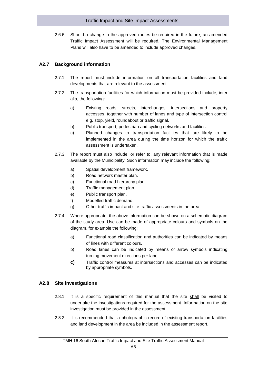2.6.6 Should a change in the approved routes be required in the future, an amended Traffic Impact Assessment will be required. The Environmental Management Plans will also have to be amended to include approved changes.

# <span id="page-34-0"></span>**A2.7 Background information**

- 2.7.1 The report must include information on all transportation facilities and land developments that are relevant to the assessment.
- 2.7.2 The transportation facilities for which information must be provided include, inter alia, the following:
	- a) Existing roads, streets, interchanges, intersections and property accesses, together with number of lanes and type of intersection control e.g. stop, yield, roundabout or traffic signal.
	- b) Public transport, pedestrian and cycling networks and facilities.
	- c) Planned changes to transportation facilities that are likely to be implemented in the area during the time horizon for which the traffic assessment is undertaken.
- 2.7.3 The report must also include, or refer to, any relevant information that is made available by the Municipality. Such information may include the following:
	- a) Spatial development framework.
	- b) Road network master plan.
	- c) Functional road hierarchy plan.
	- d) Traffic management plan.
	- e) Public transport plan.
	- f) Modelled traffic demand.
	- g) Other traffic impact and site traffic assessments in the area.
- 2.7.4 Where appropriate, the above information can be shown on a schematic diagram of the study area. Use can be made of appropriate colours and symbols on the diagram, for example the following:
	- a) Functional road classification and authorities can be indicated by means of lines with different colours.
	- b) Road lanes can be indicated by means of arrow symbols indicating turning movement directions per lane.
	- **c)** Traffic control measures at intersections and accesses can be indicated by appropriate symbols.

#### <span id="page-34-1"></span>**A2.8 Site investigations**

- 2.8.1 It is a specific requirement of this manual that the site shall be visited to undertake the investigations required for the assessment. Information on the site investigation must be provided in the assessment
- 2.8.2 It is recommended that a photographic record of existing transportation facilities and land development in the area be included in the assessment report.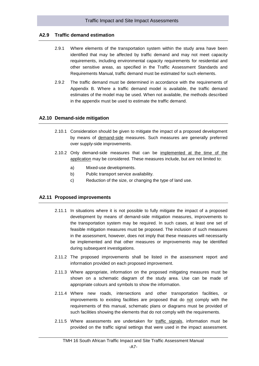# **A2.9 Traffic demand estimation**

- <span id="page-35-0"></span>2.9.1 Where elements of the transportation system within the study area have been identified that may be affected by traffic demand and may not meet capacity requirements, including environmental capacity requirements for residential and other sensitive areas, as specified in the Traffic Assessment Standards and Requirements Manual, traffic demand must be estimated for such elements.
- 2.9.2 The traffic demand must be determined in accordance with the requirements of Appendix B. Where a traffic demand model is available, the traffic demand estimates of the model may be used. When not available, the methods described in the appendix must be used to estimate the traffic demand.

#### <span id="page-35-1"></span>**A2.10 Demand-side mitigation**

- 2.10.1 Consideration should be given to mitigate the impact of a proposed development by means of demand-side measures. Such measures are generally preferred over supply-side improvements.
- 2.10.2 Only demand-side measures that can be implemented at the time of the application may be considered. These measures include, but are not limited to:
	- a) Mixed-use developments.
	- b) Public transport service availability.
	- c) Reduction of the size, or changing the type of land use.

#### <span id="page-35-2"></span>**A2.11 Proposed improvements**

- 2.11.1 In situations where it is not possible to fully mitigate the impact of a proposed development by means of demand-side mitigation measures, improvements to the transportation system may be required. In such cases, at least one set of feasible mitigation measures must be proposed. The inclusion of such measures in the assessment, however, does not imply that these measures will necessarily be implemented and that other measures or improvements may be identified during subsequent investigations.
- 2.11.2 The proposed improvements shall be listed in the assessment report and information provided on each proposed improvement.
- 2.11.3 Where appropriate, information on the proposed mitigating measures must be shown on a schematic diagram of the study area. Use can be made of appropriate colours and symbols to show the information.
- 2.11.4 Where new roads, intersections and other transportation facilities, or improvements to existing facilities are proposed that do not comply with the requirements of this manual, schematic plans or diagrams must be provided of such facilities showing the elements that do not comply with the requirements.
- 2.11.5 Where assessments are undertaken for traffic signals, information must be provided on the traffic signal settings that were used in the impact assessment.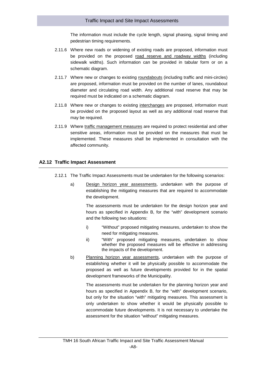The information must include the cycle length, signal phasing, signal timing and pedestrian timing requirements.

- 2.11.6 Where new roads or widening of existing roads are proposed, information must be provided on the proposed road reserve and roadway widths (including sidewalk widths). Such information can be provided in tabular form or on a schematic diagram.
- 2.11.7 Where new or changes to existing roundabouts (including traffic and mini-circles) are proposed, information must be provided on the number of lanes, roundabout diameter and circulating road width. Any additional road reserve that may be required must be indicated on a schematic diagram.
- 2.11.8 Where new or changes to existing interchanges are proposed, information must be provided on the proposed layout as well as any additional road reserve that may be required.
- 2.11.9 Where traffic management measures are required to protect residential and other sensitive areas, information must be provided on the measures that must be implemented. These measures shall be implemented in consultation with the affected community.

#### <span id="page-36-0"></span>**A2.12 Traffic Impact Assessment**

- 2.12.1 The Traffic Impact Assessments must be undertaken for the following scenarios:
	- a) Design horizon year assessments, undertaken with the purpose of establishing the mitigating measures that are required to accommodate the development.

The assessments must be undertaken for the design horizon year and hours as specified in Appendix B, for the "with" development scenario and the following two situations:

- i) "Without" proposed mitigating measures, undertaken to show the need for mitigating measures.
- ii) "With" proposed mitigating measures, undertaken to show whether the proposed measures will be effective in addressing the impacts of the development.
- b) Planning horizon year assessments, undertaken with the purpose of establishing whether it will be physically possible to accommodate the proposed as well as future developments provided for in the spatial development frameworks of the Municipality.

The assessments must be undertaken for the planning horizon year and hours as specified in Appendix B, for the "with" development scenario, but only for the situation "with" mitigating measures. This assessment is only undertaken to show whether it would be physically possible to accommodate future developments. It is not necessary to undertake the assessment for the situation "without" mitigating measures.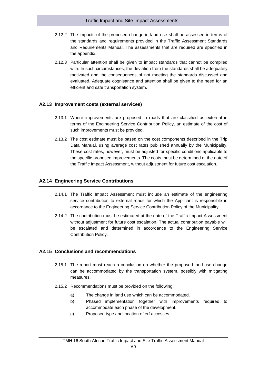- 2.12.2 The impacts of the proposed change in land use shall be assessed in terms of the standards and requirements provided in the Traffic Assessment Standards and Requirements Manual. The assessments that are required are specified in the appendix.
- 2.12.3 Particular attention shall be given to impact standards that cannot be complied with. In such circumstances, the deviation from the standards shall be adequately motivated and the consequences of not meeting the standards discussed and evaluated. Adequate cognisance and attention shall be given to the need for an efficient and safe transportation system.

#### <span id="page-37-0"></span>**A2.13 Improvement costs (external services)**

- 2.13.1 Where improvements are proposed to roads that are classified as external in terms of the Engineering Service Contribution Policy, an estimate of the cost of such improvements must be provided.
- 2.13.2 The cost estimate must be based on the cost components described in the Trip Data Manual, using average cost rates published annually by the Municipality. These cost rates, however, must be adjusted for specific conditions applicable to the specific proposed improvements. The costs must be determined at the date of the Traffic Impact Assessment, without adjustment for future cost escalation.

#### <span id="page-37-1"></span>**A2.14 Engineering Service Contributions**

- 2.14.1 The Traffic Impact Assessment must include an estimate of the engineering service contribution to external roads for which the Applicant is responsible in accordance to the Engineering Service Contribution Policy of the Municipality.
- 2.14.2 The contribution must be estimated at the date of the Traffic Impact Assessment without adjustment for future cost escalation. The actual contribution payable will be escalated and determined in accordance to the Engineering Service Contribution Policy.

#### <span id="page-37-2"></span>**A2.15 Conclusions and recommendations**

- 2.15.1 The report must reach a conclusion on whether the proposed land-use change can be accommodated by the transportation system, possibly with mitigating measures.
- 2.15.2 Recommendations must be provided on the following:
	- a) The change in land use which can be accommodated.
	- b) Phased implementation together with improvements required to accommodate each phase of the development.
	- c) Proposed type and location of erf accesses.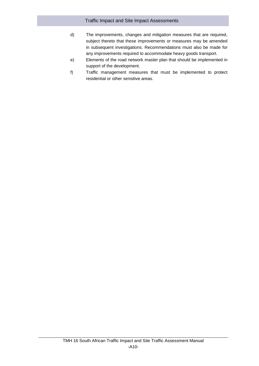- d) The improvements, changes and mitigation measures that are required, subject thereto that these improvements or measures may be amended in subsequent investigations. Recommendations must also be made for any improvements required to accommodate heavy goods transport.
- e) Elements of the road network master plan that should be implemented in support of the development.
- f) Traffic management measures that must be implemented to protect residential or other sensitive areas.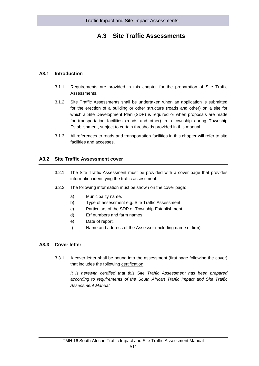# **A.3 Site Traffic Assessments**

# <span id="page-39-0"></span>**A3.1 Introduction**

- <span id="page-39-1"></span>3.1.1 Requirements are provided in this chapter for the preparation of Site Traffic Assessments.
- 3.1.2 Site Traffic Assessments shall be undertaken when an application is submitted for the erection of a building or other structure (roads and other) on a site for which a Site Development Plan (SDP) is required or when proposals are made for transportation facilities (roads and other) in a township during Township Establishment, subject to certain thresholds provided in this manual.
- <span id="page-39-2"></span>3.1.3 All references to roads and transportation facilities in this chapter will refer to site facilities and accesses.

#### **A3.2 Site Traffic Assessment cover**

- 3.2.1 The Site Traffic Assessment must be provided with a cover page that provides information identifying the traffic assessment.
- 3.2.2 The following information must be shown on the cover page:
	- a) Municipality name.
	- b) Type of assessment e.g. Site Traffic Assessment.
	- c) Particulars of the SDP or Township Establishment.
	- d) Erf numbers and farm names.
	- e) Date of report.
	- f) Name and address of the Assessor (including name of firm).

# <span id="page-39-3"></span>**A3.3 Cover letter**

3.3.1 A cover letter shall be bound into the assessment (first page following the cover) that includes the following certification:

*It is herewith certified that this Site Traffic Assessment has been prepared according to requirements of the South African Traffic Impact and Site Traffic Assessment Manual.*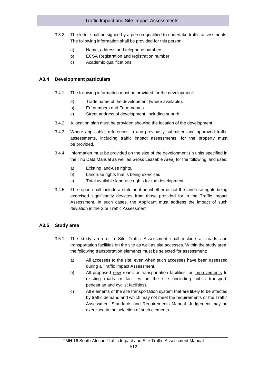- 3.3.2 The letter shall be signed by a person qualified to undertake traffic assessments. The following information shall be provided for this person:
	- a) Name, address and telephone numbers.
	- b) ECSA Registration and registration number.
	- c) Academic qualifications.

## <span id="page-40-0"></span>**A3.4 Development particulars**

- 3.4.1 The following information must be provided for the development:
	- a) Trade name of the development (where available).
	- b) Erf numbers and Farm names.
	- c) Street address of development, including suburb.
- 3.4.2 A location plan must be provided showing the location of the development.
- 3.4.3 Where applicable, references to any previously submitted and approved traffic assessments, including traffic impact assessments, for the property must be provided.
- 3.4.4 Information must be provided on the size of the development (in units specified in the Trip Data Manual as well as Gross Leasable Area) for the following land uses:
	- a) Existing land-use rights.
	- b) Land-use rights that is being exercised.
	- c) Total available land-use rights for the development.
- 3.4.5 The report shall include a statement on whether or not the land-use rights being exercised significantly deviates from those provided for in the Traffic Impact Assessment. In such cases, the Applicant must address the impact of such deviation in the Site Traffic Assessment.

#### <span id="page-40-1"></span>**A3.5 Study area**

- 3.5.1 The study area of a Site Traffic Assessment shall include all roads and transportation facilities on the site as well as site accesses. Within the study area, the following transportation elements must be selected for assessment:
	- a) All accesses to the site, even when such accesses have been assessed during a Traffic Impact Assessment.
	- b) All proposed new roads or transportation facilities, or improvements to existing roads or facilities on the site (including public transport, pedestrian and cyclist facilities).
	- c) All elements of the site transportation system that are likely to be affected by traffic demand and which may not meet the requirements or the Traffic Assessment Standards and Requirements Manual. Judgement may be exercised in the selection of such elements.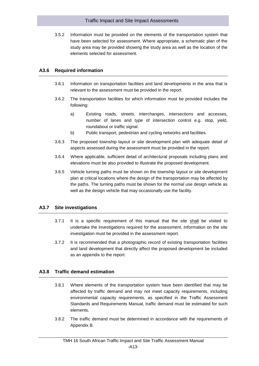3.5.2 Information must be provided on the elements of the transportation system that have been selected for assessment. Where appropriate, a schematic plan of the study area may be provided showing the study area as well as the location of the elements selected for assessment.

#### <span id="page-41-0"></span>**A3.6 Required information**

- 3.6.1 Information on transportation facilities and land developments in the area that is relevant to the assessment must be provided in the report.
- 3.6.2 The transportation facilities for which information must be provided includes the following:
	- a) Existing roads, streets, interchanges, intersections and accesses, number of lanes and type of intersection control e.g. stop, yield, roundabout or traffic signal.
	- b) Public transport, pedestrian and cycling networks and facilities.
- 3.6.3 The proposed township layout or site development plan with adequate detail of aspects assessed during the assessment must be provided in the report.
- 3.6.4 Where applicable, sufficient detail of architectural proposals including plans and elevations must be also provided to illustrate the proposed development.
- 3.6.5 Vehicle turning paths must be shown on the township layout or site development plan at critical locations where the design of the transportation may be affected by the paths. The turning paths must be shown for the normal use design vehicle as well as the design vehicle that may occasionally use the facility.

#### <span id="page-41-1"></span>**A3.7 Site investigations**

- 3.7.1 It is a specific requirement of this manual that the site shall be visited to undertake the investigations required for the assessment. Information on the site investigation must be provided in the assessment report.
- 3.7.2 It is recommended that a photographic record of existing transportation facilities and land development that directly affect the proposed development be included as an appendix to the report.

#### <span id="page-41-2"></span>**A3.8 Traffic demand estimation**

- 3.8.1 Where elements of the transportation system have been identified that may be affected by traffic demand and may not meet capacity requirements, including environmental capacity requirements, as specified in the Traffic Assessment Standards and Requirements Manual, traffic demand must be estimated for such elements.
- 3.8.2 The traffic demand must be determined in accordance with the requirements of Appendix B.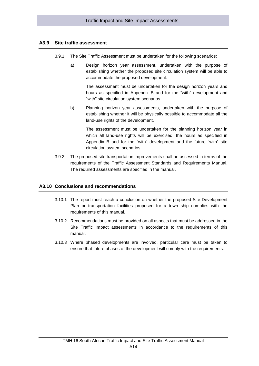#### <span id="page-42-0"></span>**A3.9 Site traffic assessment**

- 3.9.1 The Site Traffic Assessment must be undertaken for the following scenarios:
	- a) Design horizon year assessment, undertaken with the purpose of establishing whether the proposed site circulation system will be able to accommodate the proposed development.

The assessment must be undertaken for the design horizon years and hours as specified in Appendix B and for the "with" development and "with" site circulation system scenarios.

b) Planning horizon year assessments, undertaken with the purpose of establishing whether it will be physically possible to accommodate all the land-use rights of the development.

> The assessment must be undertaken for the planning horizon year in which all land-use rights will be exercised, the hours as specified in Appendix B and for the "with" development and the future "with" site circulation system scenarios.

3.9.2 The proposed site transportation improvements shall be assessed in terms of the requirements of the Traffic Assessment Standards and Requirements Manual. The required assessments are specified in the manual.

#### <span id="page-42-1"></span>**A3.10 Conclusions and recommendations**

- 3.10.1 The report must reach a conclusion on whether the proposed Site Development Plan or transportation facilities proposed for a town ship complies with the requirements of this manual.
- 3.10.2 Recommendations must be provided on all aspects that must be addressed in the Site Traffic Impact assessments in accordance to the requirements of this manual.
- 3.10.3 Where phased developments are involved, particular care must be taken to ensure that future phases of the development will comply with the requirements.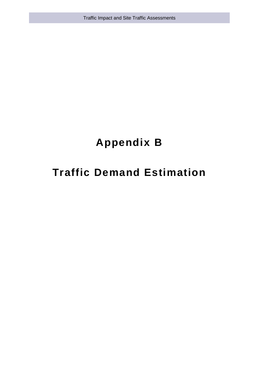Traffic Impact and Site Traffic Assessments

# **Appendix B**

# **Traffic Demand Estimation**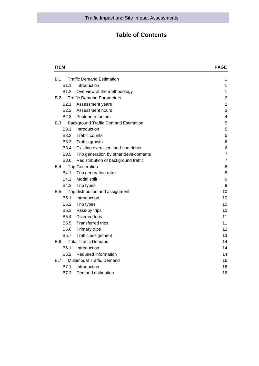# **Table of Contents**

| <b>ITEM</b>      |                                             | PAGE<br>1               |
|------------------|---------------------------------------------|-------------------------|
| B.1              | <b>Traffic Demand Estimation</b>            |                         |
| B <sub>1.1</sub> | Introduction                                | 1                       |
| B <sub>1.2</sub> | Overview of the methodology                 | 1                       |
| B.2              | <b>Traffic Demand Parameters</b>            | $\overline{2}$          |
| B <sub>2.1</sub> | Assessment years                            | $\overline{2}$          |
| B <sub>2.2</sub> | Assessment hours                            | 3                       |
| B <sub>2.3</sub> | Peak hour factors                           | $\overline{\mathbf{4}}$ |
| <b>B.3</b>       | <b>Background Traffic Demand Estimation</b> | 5                       |
| B3.1             | Introduction                                | 5                       |
| B <sub>3.2</sub> | <b>Traffic counts</b>                       | 5                       |
| <b>B3.3</b>      | Traffic growth                              | 6                       |
| <b>B3.4</b>      | Existing exercised land-use rights          | 6                       |
| <b>B3.5</b>      | Trip generation by other developments       | $\overline{7}$          |
| B3.6             | Redistribution of background traffic        | $\overline{7}$          |
| B.4              | <b>Trip Generation</b>                      | 8                       |
| B4.1             | Trip generation rates                       | 8                       |
| B4.2             | Modal split                                 | 9                       |
| B4.3             | Trip types                                  | 9                       |
| B.5              | Trip distribution and assignment            | 10                      |
| <b>B5.1</b>      | Introduction                                | 10                      |
| B <sub>5.2</sub> | Trip types                                  | 10                      |
| <b>B5.3</b>      | Pass-by trips                               | 10                      |
| <b>B5.4</b>      | Diverted trips                              | 11                      |
| B <sub>5.5</sub> | <b>Transferred trips</b>                    | 11                      |
| B5.6             | Primary trips                               | 12                      |
| B5.7             | Traffic assignment                          | 13                      |
| <b>B.6</b>       | <b>Total Traffic Demand</b>                 | 14                      |
| B <sub>6.1</sub> | Introduction                                | 14                      |
| B6.2             | Required information                        | 14                      |
| B.7              | <b>Multimodal Traffic Demand</b>            | 16                      |
| B7.1             | Introduction                                | 16                      |
| B7.2             | Demand estimation                           | 16                      |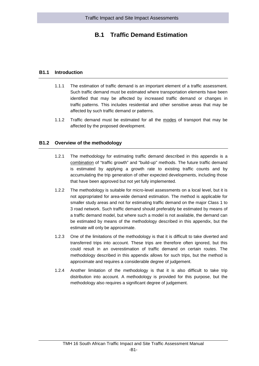# <span id="page-45-0"></span>**B.1 Traffic Demand Estimation**

## **B1.1 Introduction**

- <span id="page-45-1"></span>1.1.1 The estimation of traffic demand is an important element of a traffic assessment. Such traffic demand must be estimated where transportation elements have been identified that may be affected by increased traffic demand or changes in traffic patterns. This includes residential and other sensitive areas that may be affected by such traffic demand or patterns.
- <span id="page-45-2"></span>1.1.2 Traffic demand must be estimated for all the modes of transport that may be affected by the proposed development.

# **B1.2 Overview of the methodology**

- 1.2.1 The methodology for estimating traffic demand described in this appendix is a combination of "traffic growth" and "build-up" methods. The future traffic demand is estimated by applying a growth rate to existing traffic counts and by accumulating the trip generation of other expected developments, including those that have been approved but not yet fully implemented.
- 1.2.2 The methodology is suitable for micro-level assessments on a local level, but it is not appropriated for area-wide demand estimation. The method is applicable for smaller study areas and not for estimating traffic demand on the major Class 1 to 3 road network. Such traffic demand should preferably be estimated by means of a traffic demand model, but where such a model is not available, the demand can be estimated by means of the methodology described in this appendix, but the estimate will only be approximate.
- 1.2.3 One of the limitations of the methodology is that it is difficult to take diverted and transferred trips into account. These trips are therefore often ignored, but this could result in an overestimation of traffic demand on certain routes. The methodology described in this appendix allows for such trips, but the method is approximate and requires a considerable degree of judgement.
- 1.2.4 Another limitation of the methodology is that it is also difficult to take trip distribution into account. A methodology is provided for this purpose, but the methodology also requires a significant degree of judgement.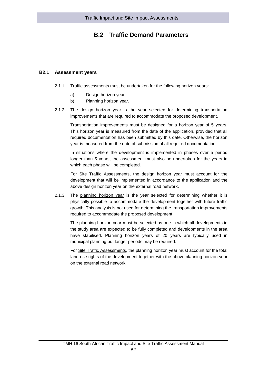# <span id="page-46-0"></span>**B.2 Traffic Demand Parameters**

## **B2.1 Assessment years**

- <span id="page-46-1"></span>2.1.1 Traffic assessments must be undertaken for the following horizon years:
	- a) Design horizon year.
	- b) Planning horizon year.
- 2.1.2 The design horizon year is the year selected for determining transportation improvements that are required to accommodate the proposed development.

Transportation improvements must be designed for a horizon year of 5 years. This horizon year is measured from the date of the application, provided that all required documentation has been submitted by this date. Otherwise, the horizon year is measured from the date of submission of all required documentation.

In situations where the development is implemented in phases over a period longer than 5 years, the assessment must also be undertaken for the years in which each phase will be completed.

For Site Traffic Assessments, the design horizon year must account for the development that will be implemented in accordance to the application and the above design horizon year on the external road network.

2.1.3 The planning horizon year is the year selected for determining whether it is physically possible to accommodate the development together with future traffic growth. This analysis is not used for determining the transportation improvements required to accommodate the proposed development.

The planning horizon year must be selected as one in which all developments in the study area are expected to be fully completed and developments in the area have stabilised. Planning horizon years of 20 years are typically used in municipal planning but longer periods may be required.

For Site Traffic Assessments, the planning horizon year must account for the total land-use rights of the development together with the above planning horizon year on the external road network.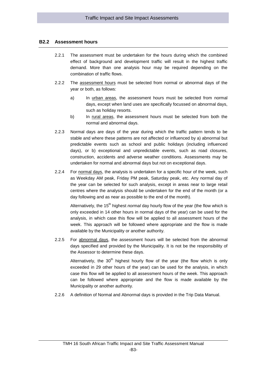#### <span id="page-47-0"></span>**B2.2 Assessment hours**

- 2.2.1 The assessment must be undertaken for the hours during which the combined effect of background and development traffic will result in the highest traffic demand. More than one analysis hour may be required depending on the combination of traffic flows.
- 2.2.2 The assessment hours must be selected from normal or abnormal days of the year or both, as follows:
	- a) In urban areas, the assessment hours must be selected from normal days, except when land uses are specifically focussed on abnormal days, such as holiday resorts.
	- b) In rural areas, the assessment hours must be selected from both the normal and abnormal days.
- 2.2.3 Normal days are days of the year during which the traffic pattern tends to be stable and where these patterns are not affected or influenced by a) abnormal but predictable events such as school and public holidays (including influenced days), or b) exceptional and unpredictable events, such as road closures, construction, accidents and adverse weather conditions. Assessments may be undertaken for normal and abnormal days but not on exceptional days.
- 2.2.4 For normal days, the analysis is undertaken for a specific hour of the week, such as Weekday AM peak, Friday PM peak, Saturday peak, etc. Any normal day of the year can be selected for such analysis, except in areas near to large retail centres where the analysis should be undertaken for the end of the month (or a day following and as near as possible to the end of the month).

Alternatively, the 15<sup>th</sup> highest *normal* day hourly flow of the year (the flow which is only exceeded in 14 other hours in normal days of the year) can be used for the analysis, in which case this flow will be applied to all assessment hours of the week. This approach will be followed where appropriate and the flow is made available by the Municipality or another authority.

2.2.5 For abnormal days, the assessment hours will be selected from the abnormal days specified and provided by the Municipality. It is not be the responsibility of the Assessor to determine these days.

Alternatively, the  $30<sup>th</sup>$  highest hourly flow of the year (the flow which is only exceeded in 29 other hours of the year) can be used for the analysis, in which case this flow will be applied to all assessment hours of the week. This approach can be followed where appropriate and the flow is made available by the Municipality or another authority.

2.2.6 A definition of Normal and Abnormal days is provided in the Trip Data Manual.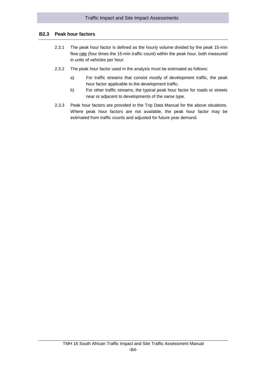# **B2.3 Peak hour factors**

- <span id="page-48-0"></span>2.3.1 The peak hour factor is defined as the hourly volume divided by the peak 15-min flow rate (four times the 15-min traffic count) within the peak hour, both measured in units of vehicles per hour.
- 2.3.2 The peak hour factor used in the analysis must be estimated as follows:
	- a) For traffic streams that consist mostly of development traffic, the peak hour factor applicable to the development traffic.
	- b) For other traffic streams, the typical peak hour factor for roads or streets near or adjacent to developments of the same type.
- 2.3.3 Peak hour factors are provided in the Trip Data Manual for the above situations. Where peak hour factors are not available, the peak hour factor may be estimated from traffic counts and adjusted for future year demand.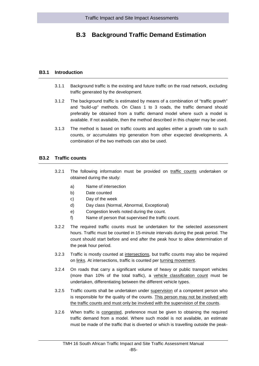# <span id="page-49-0"></span>**B.3 Background Traffic Demand Estimation**

#### **B3.1 Introduction**

- <span id="page-49-1"></span>3.1.1 Background traffic is the existing and future traffic on the road network, excluding traffic generated by the development.
- 3.1.2 The background traffic is estimated by means of a combination of "traffic growth" and "build-up" methods. On Class 1 to 3 roads, the traffic demand should preferably be obtained from a traffic demand model where such a model is available. If not available, then the method described in this chapter may be used.
- 3.1.3 The method is based on traffic counts and applies either a growth rate to such counts, or accumulates trip generation from other expected developments. A combination of the two methods can also be used.

#### <span id="page-49-2"></span>**B3.2 Traffic counts**

- 3.2.1 The following information must be provided on traffic counts undertaken or obtained during the study:
	- a) Name of intersection
	- b) Date counted
	- c) Day of the week
	- d) Day class (Normal, Abnormal, Exceptional)
	- e) Congestion levels noted during the count.
	- f) Name of person that supervised the traffic count.
- 3.2.2 The required traffic counts must be undertaken for the selected assessment hours. Traffic must be counted in 15-minute intervals during the peak period. The count should start before and end after the peak hour to allow determination of the peak hour period.
- 3.2.3 Traffic is mostly counted at intersections, but traffic counts may also be required on links. At intersections, traffic is counted per turning movement.
- 3.2.4 On roads that carry a significant volume of heavy or public transport vehicles (more than 10% of the total traffic), a vehicle classification count must be undertaken, differentiating between the different vehicle types.
- 3.2.5 Traffic counts shall be undertaken under supervision of a competent person who is responsible for the quality of the counts. This person may not be involved with the traffic counts and must only be involved with the supervision of the counts.
- 3.2.6 When traffic is congested, preference must be given to obtaining the required traffic demand from a model. Where such model is not available, an estimate must be made of the traffic that is diverted or which is travelling outside the peak-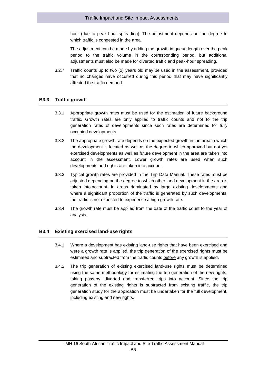hour (due to peak-hour spreading). The adjustment depends on the degree to which traffic is congested in the area.

The adjustment can be made by adding the growth in queue length over the peak period to the traffic volume in the corresponding period, but additional adjustments must also be made for diverted traffic and peak-hour spreading.

3.2.7 Traffic counts up to two (2) years old may be used in the assessment, provided that no changes have occurred during this period that may have significantly affected the traffic demand.

#### <span id="page-50-0"></span>**B3.3 Traffic growth**

- 3.3.1 Appropriate growth rates must be used for the estimation of future background traffic. Growth rates are only applied to traffic counts and not to the trip generation rates of developments since such rates are determined for fully occupied developments.
- 3.3.2 The appropriate growth rate depends on the expected growth in the area in which the development is located as well as the degree to which approved but not yet exercised developments as well as future development in the area are taken into account in the assessment. Lower growth rates are used when such developments and rights are taken into account.
- 3.3.3 Typical growth rates are provided in the Trip Data Manual. These rates must be adjusted depending on the degree to which other land development in the area is taken into account. In areas dominated by large existing developments and where a significant proportion of the traffic is generated by such developments, the traffic is not expected to experience a high growth rate.
- <span id="page-50-1"></span>3.3.4 The growth rate must be applied from the date of the traffic count to the year of analysis.

# **B3.4 Existing exercised land-use rights**

- 3.4.1 Where a development has existing land-use rights that have been exercised and were a growth rate is applied, the trip generation of the exercised rights must be estimated and subtracted from the traffic counts before any growth is applied.
- 3.4.2 The trip generation of existing exercised land-use rights must be determined using the same methodology for estimating the trip generation of the new rights, taking pass-by, diverted and transferred trips into account. Since the trip generation of the existing rights is subtracted from existing traffic, the trip generation study for the application must be undertaken for the full development, including existing and new rights.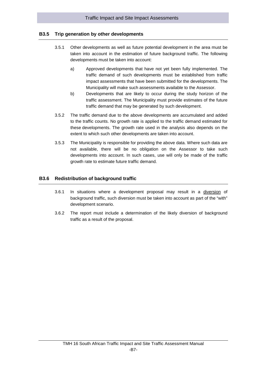# **B3.5 Trip generation by other developments**

- <span id="page-51-0"></span>3.5.1 Other developments as well as future potential development in the area must be taken into account in the estimation of future background traffic. The following developments must be taken into account:
	- a) Approved developments that have not yet been fully implemented. The traffic demand of such developments must be established from traffic impact assessments that have been submitted for the developments. The Municipality will make such assessments available to the Assessor.
	- b) Developments that are likely to occur during the study horizon of the traffic assessment. The Municipality must provide estimates of the future traffic demand that may be generated by such development.
- 3.5.2 The traffic demand due to the above developments are accumulated and added to the traffic counts. No growth rate is applied to the traffic demand estimated for these developments. The growth rate used in the analysis also depends on the extent to which such other developments are taken into account.
- 3.5.3 The Municipality is responsible for providing the above data. Where such data are not available, there will be no obligation on the Assessor to take such developments into account. In such cases, use will only be made of the traffic growth rate to estimate future traffic demand.

# <span id="page-51-1"></span>**B3.6 Redistribution of background traffic**

- 3.6.1 In situations where a development proposal may result in a diversion of background traffic, such diversion must be taken into account as part of the "with" development scenario.
- 3.6.2 The report must include a determination of the likely diversion of background traffic as a result of the proposal.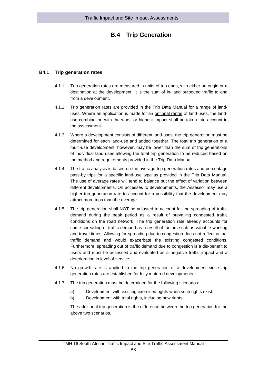# **B.4 Trip Generation**

# <span id="page-52-0"></span>**B4.1 Trip generation rates**

- <span id="page-52-1"></span>4.1.1 Trip generation rates are measured in units of trip ends, with either an origin or a destination at the development. It is the sum of in- and outbound traffic to and from a development.
- 4.1.2 Trip generation rates are provided in the Trip Data Manual for a range of landuses. Where an application is made for an optional range of land-uses, the landuse combination with the worst or highest impact shall be taken into account in the assessment.
- 4.1.3 Where a development consists of different land-uses, the trip generation must be determined for each land-use and added together. The total trip generation of a multi-use development, however, may be lower than the sum of trip generations of individual land uses allowing the total trip generation to be reduced based on the method and requirements provided in the Trip Data Manual.
- 4.1.4 The traffic analysis is based on the average trip generation rates and percentage pass-by trips for a specific land-use type as provided in the Trip Data Manual. The use of average rates will tend to balance out the effect of variation between different developments. On accesses to developments, the Assessor may use a higher trip generation rate to account for a possibility that the development may attract more trips than the average.
- 4.1.5 The trip generation shall NOT be adjusted to account for the spreading of traffic demand during the peak period as a result of prevailing congested traffic conditions on the road network. The trip generation rate already accounts for some spreading of traffic demand as a result of factors such as variable working and travel times. Allowing for spreading due to congestion does not reflect actual traffic demand and would exacerbate the existing congested conditions. Furthermore, spreading out of traffic demand due to congestion is a dis-benefit to users and must be assessed and evaluated as a negative traffic impact and a deterioration in level of service.
- 4.1.6 No growth rate is applied to the trip generation of a development since trip generation rates are established for fully matured developments.
- 4.1.7 The trip generation must be determined for the following scenarios:
	- a) Development with existing exercised rights when such rights exist.
	- b) Development with total rights, including new rights.

The additional trip generation is the difference between the trip generation for the above two scenarios.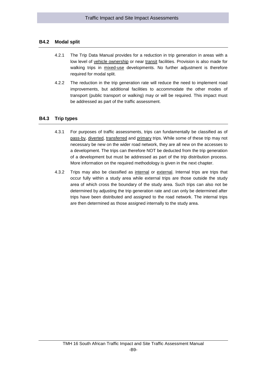#### <span id="page-53-0"></span>**B4.2 Modal split**

- 4.2.1 The Trip Data Manual provides for a reduction in trip generation in areas with a low level of vehicle ownership or near transit facilities. Provision is also made for walking trips in mixed-use developments. No further adjustment is therefore required for modal split.
- 4.2.2 The reduction in the trip generation rate will reduce the need to implement road improvements, but additional facilities to accommodate the other modes of transport (public transport or walking) may or will be required. This impact must be addressed as part of the traffic assessment.

#### <span id="page-53-1"></span>**B4.3 Trip types**

- 4.3.1 For purposes of traffic assessments, trips can fundamentally be classified as of pass-by, diverted, transferred and primary trips. While some of these trip may not necessary be new on the wider road network, they are all new on the accesses to a development. The trips can therefore NOT be deducted from the trip generation of a development but must be addressed as part of the trip distribution process. More information on the required methodology is given in the next chapter.
- 4.3.2 Trips may also be classified as internal or external. Internal trips are trips that occur fully within a study area while external trips are those outside the study area of which cross the boundary of the study area. Such trips can also not be determined by adjusting the trip generation rate and can only be determined after trips have been distributed and assigned to the road network. The internal trips are then determined as those assigned internally to the study area.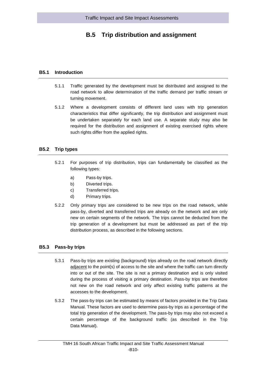# <span id="page-54-0"></span>**B.5 Trip distribution and assignment**

#### **B5.1 Introduction**

- <span id="page-54-1"></span>5.1.1 Traffic generated by the development must be distributed and assigned to the road network to allow determination of the traffic demand per traffic stream or turning movement.
- 5.1.2 Where a development consists of different land uses with trip generation characteristics that differ significantly, the trip distribution and assignment must be undertaken separately for each land use. A separate study may also be required for the distribution and assignment of existing exercised rights where such rights differ from the applied rights.

#### <span id="page-54-2"></span>**B5.2 Trip types**

- 5.2.1 For purposes of trip distribution, trips can fundamentally be classified as the following types:
	- a) Pass-by trips.
	- b) Diverted trips.
	- c) Transferred trips.
	- d) Primary trips.
- 5.2.2 Only primary trips are considered to be new trips on the road network, while pass-by, diverted and transferred trips are already on the network and are only new on certain segments of the network. The trips cannot be deducted from the trip generation of a development but must be addressed as part of the trip distribution process, as described in the following sections.

#### <span id="page-54-3"></span>**B5.3 Pass-by trips**

- 5.3.1 Pass-by trips are existing (background) trips already on the road network directly adjacent to the point(s) of access to the site and where the traffic can turn directly into or out of the site. The site is not a primary destination and is only visited during the process of visiting a primary destination. Pass-by trips are therefore not new on the road network and only affect existing traffic patterns at the accesses to the development.
- 5.3.2 The pass-by trips can be estimated by means of factors provided in the Trip Data Manual. These factors are used to determine pass-by trips as a percentage of the total trip generation of the development. The pass-by trips may also not exceed a certain percentage of the background traffic (as described in the Trip Data Manual).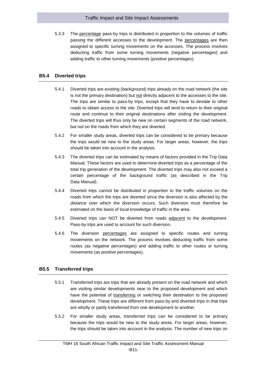5.3.3 The percentage pass-by trips is distributed in proportion to the volumes of traffic passing the different accesses to the development. The percentages are then assigned to specific turning movements on the accesses. The process involves deducting traffic from some turning movements (negative percentages) and adding traffic to other turning movements (positive percentages).

# <span id="page-55-0"></span>**B5.4 Diverted trips**

- 5.4.1 Diverted trips are existing (background) trips already on the road network (the site is not the primary destination) but not directly adjacent to the accesses to the site. The trips are similar to pass-by trips, except that they have to deviate to other roads to obtain access to the site. Diverted trips will tend to return to their original route and continue to their original destinations after visiting the development. The diverted trips will thus only be new on certain segments of the road network, but not on the roads from which they are diverted.
- 5.4.2 For smaller study areas, diverted trips can be considered to be primary because the trips would be new to the study areas. For larger areas, however, the trips should be taken into account in the analysis.
- 5.4.3 The diverted trips can be estimated by means of factors provided in the Trip Data Manual. These factors are used to determine diverted trips as a percentage of the total trip generation of the development. The diverted trips may also not exceed a certain percentage of the background traffic (as described in the Trip Data Manual).
- 5.4.4 Diverted trips cannot be distributed in proportion to the traffic volumes on the roads from which the trips are diverted since the diversion is also affected by the distance over which the diversion occurs. Such diversion must therefore be estimated on the basis of local knowledge of traffic in the area.
- 5.4.5 Diverted trips can NOT be diverted from roads adjacent to the development. Pass-by trips are used to account for such diversion.
- 5.4.6 The diversion percentages are assigned to specific routes and turning movements on the network. The process involves deducting traffic from some routes (as negative percentages) and adding traffic to other routes or turning movements (as positive percentages).

# <span id="page-55-1"></span>**B5.5 Transferred trips**

- 5.5.1 Transferred trips are trips that are already present on the road network and which are visiting similar developments near to the proposed development and which have the potential of transferring or switching their destination to the proposed development. These trips are different from pass-by and diverted trips in that trips are wholly or partly transferred from one development to another.
- 5.5.2 For smaller study areas, transferred trips can be considered to be primary because the trips would be new to the study areas. For larger areas, however, the trips should be taken into account in the analysis. The number of new trips on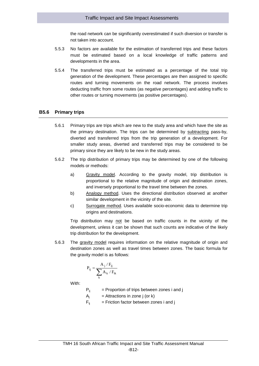the road network can be significantly overestimated if such diversion or transfer is not taken into account.

- 5.5.3 No factors are available for the estimation of transferred trips and these factors must be estimated based on a local knowledge of traffic patterns and developments in the area.
- 5.5.4 The transferred trips must be estimated as a percentage of the total trip generation of the development. These percentages are then assigned to specific routes and turning movements on the road network. The process involves deducting traffic from some routes (as negative percentages) and adding traffic to other routes or turning movements (as positive percentages).

#### <span id="page-56-0"></span>**B5.6 Primary trips**

- 5.6.1 Primary trips are trips which are new to the study area and which have the site as the primary destination. The trips can be determined by subtracting pass-by, diverted and transferred trips from the trip generation of a development. For smaller study areas, diverted and transferred trips may be considered to be primary since they are likely to be new in the study areas.
- 5.6.2 The trip distribution of primary trips may be determined by one of the following models or methods:
	- a) Gravity model. According to the gravity model, trip distribution is proportional to the relative magnitude of origin and destination zones, and inversely proportional to the travel time between the zones.
	- b) Analogy method. Uses the directional distribution observed at another similar development in the vicinity of the site.
	- c) Surrogate method. Uses available socio-economic data to determine trip origins and destinations.

Trip distribution may not be based on traffic counts in the vicinity of the development, unless it can be shown that such counts are indicative of the likely trip distribution for the development.

5.6.3 The gravity model requires information on the relative magnitude of origin and destination zones as well as travel times between zones. The basic formula for the gravity model is as follows:

$$
P_{ij} = \frac{A_j \mathbin{/} F_{ij}}{\displaystyle\sum_k A_k \mathbin{/} F_{ik}}
$$

With:

 $P_{ij}$  = Proportion of trips between zones i and j

 $A_i$  = Attractions in zone j (or k)

 $F_{ii}$  = Friction factor between zones i and j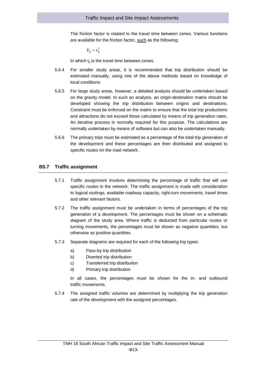The friction factor is related to the travel time between zones. Various functions are available for the friction factor, such as the following:

$$
F_{ij} = t_{ij}^2
$$

In which  $t_{ij}$  is the travel time between zones.

- 5.6.4 For smaller study areas, it is recommended that trip distribution should be estimated manually, using one of the above methods based on knowledge of local conditions.
- 5.6.5 For large study areas, however, a detailed analysis should be undertaken based on the gravity model. In such an analysis, an origin-destination matrix should be developed showing the trip distribution between origins and destinations. Constraint must be enforced on the matrix to ensure that the total trip productions and attractions do not exceed those calculated by means of trip generation rates. An iterative process is normally required for this purpose. The calculations are normally undertaken by means of software but can also be undertaken manually.
- 5.6.6 The primary trips must be estimated as a percentage of the total trip generation of the development and these percentages are then distributed and assigned to specific routes on the road network.

#### <span id="page-57-0"></span>**B5.7 Traffic assignment**

- 5.7.1 Traffic assignment involves determining the percentage of traffic that will use specific routes in the network. The traffic assignment is made with consideration to logical routings, available roadway capacity, right-turn movements, travel times and other relevant factors.
- 5.7.2 The traffic assignment must be undertaken in terms of percentages of the trip generation of a development. The percentages must be shown on a schematic diagram of the study area. Where traffic is deducted from particular routes or turning movements, the percentages must be shown as negative quantities, but otherwise as positive quantities.
- 5.7.3 Separate diagrams are required for each of the following trip types:
	- a) Pass-by trip distribution
	- b) Diverted trip distribution
	- c) Transferred trip distribution
	- d) Primary trip distribution

In all cases, the percentages must be shown for the in- and outbound traffic movements.

5.7.4 The assigned traffic volumes are determined by multiplying the trip generation rate of the development with the assigned percentages.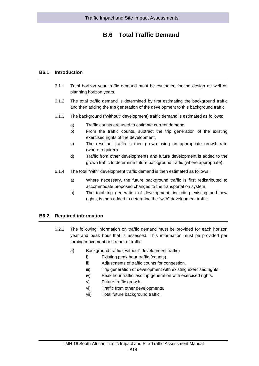# **B.6 Total Traffic Demand**

#### <span id="page-58-0"></span>**B6.1 Introduction**

- <span id="page-58-1"></span>6.1.1 Total horizon year traffic demand must be estimated for the design as well as planning horizon years.
- 6.1.2 The total traffic demand is determined by first estimating the background traffic and then adding the trip generation of the development to this background traffic.
- 6.1.3 The background ("without" development) traffic demand is estimated as follows:
	- a) Traffic counts are used to estimate current demand.
	- b) From the traffic counts, subtract the trip generation of the existing exercised rights of the development.
	- c) The resultant traffic is then grown using an appropriate growth rate (where required).
	- d) Traffic from other developments and future development is added to the grown traffic to determine future background traffic (where appropriate).
- 6.1.4 The total "with" development traffic demand is then estimated as follows:
	- a) Where necessary, the future background traffic is first redistributed to accommodate proposed changes to the transportation system.
	- b) The total trip generation of development, including existing and new rights, is then added to determine the "with" development traffic.

#### <span id="page-58-2"></span>**B6.2 Required information**

- 6.2.1 The following information on traffic demand must be provided for each horizon year and peak hour that is assessed. This information must be provided per turning movement or stream of traffic.
	- a) Background traffic ("without" development traffic)
		- i) Existing peak hour traffic (counts).
			- ii) Adjustments of traffic counts for congestion.
		- iii) Trip generation of development with existing exercised rights.
		- iv) Peak hour traffic less trip generation with exercised rights.
		- v) Future traffic growth.
		- vi) Traffic from other developments.
		- vii) Total future background traffic.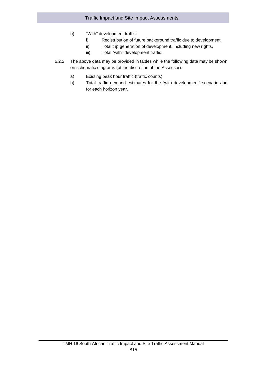- b) "With" development traffic
	- i) Redistribution of future background traffic due to development.
	- ii) Total trip generation of development, including new rights.
	- iii) Total "with" development traffic.
- 6.2.2 The above data may be provided in tables while the following data may be shown on schematic diagrams (at the discretion of the Assessor):
	- a) Existing peak hour traffic (traffic counts).
	- b) Total traffic demand estimates for the "with development" scenario and for each horizon year.